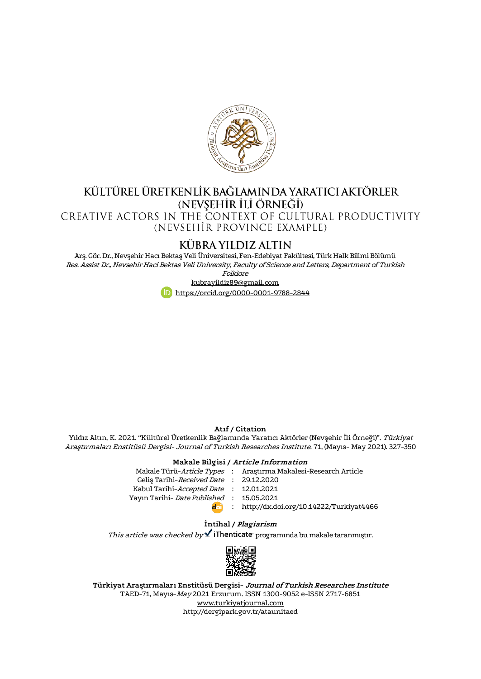

# KÜLTÜREL ÜRETKENLİK BAĞLAMINDA YARATICI AKTÖRLER (NEVSEHIR ILI ÖRNEĞI)<br>CREATIVE ACTORS IN THE CONTEXT OF CULTURAL PRODUCTIVITY

(NEVSEHIR PROVINCE EXAMPLE)

# **KÜBRA YILDIZ ALTIN**

Arş. Gör. Dr., Nevşehir Hacı Bektaş Veli Üniversitesi, Fen-Edebiyat Fakültesi, Türk Halk Bilimi Bölümü Res. Assist Dr., Nevsehir Haci Bektas Veli University, Faculty of Science and Letters, Department of Turkish

Folklore



#### **Atıf / Citation**

Yıldız Altın, K. 2021. "Kültürel Üretkenlik Bağlamında Yaratıcı Aktörler (Nevşehir İli Örneği)". Türkiyat Araştırmaları Enstitüsü Dergisi- Journal of Turkish Researches Institute. 71, (Mayıs- May 2021). 327-350

#### **Makale Bilgisi / Article Information**

|                                          | Makale Türü-Article Types : Araştırma Makalesi-Research Article |
|------------------------------------------|-----------------------------------------------------------------|
| Gelis Tarihi-Received Date: 29.12.2020   |                                                                 |
| Kabul Tarihi-Accepted Date : 12.01.2021  |                                                                 |
| Yayın Tarihi- Date Published: 15.05.2021 |                                                                 |
| d al                                     | : http://dx.doi.org/10.14222/Turkiyat4466                       |
|                                          |                                                                 |

#### **İntihal / Plagiarism**

This article was checked by  $\blacktriangle$  iThenticate programında bu makale taranmıştır.



**Türkiyat Araştırmaları Enstitüsü Dergisi- Journal of Turkish Researches Institute** TAED-71, Mayıs-May 2021 Erzurum. ISSN 1300-9052 e-ISSN 2717-6851 [www.turkiyatjournal.com](http://www.turkiyatjournal.com/) <http://dergipark.gov.tr/ataunitaed>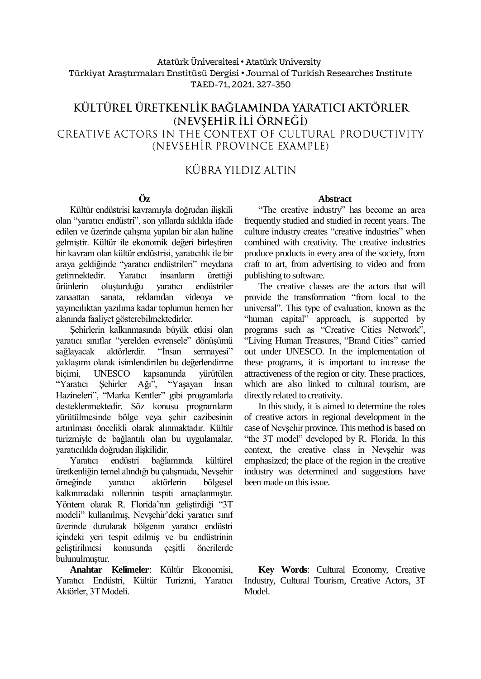#### Atatürk Üniversitesi• Atatürk University Türkiyat Araştırmaları Enstitüsü Dergisi • Journal of Turkish Researches Institute TAED-71, 2021. 327-350

# KÜLTÜREL ÜRETKENLİK BAĞLAMINDA YARATICI AKTÖRLER (NEVSEHİR İLİ ÖRNEĞİ) CREATIVE ACTORS IN THE CONTEXT OF CULTURAL PRODUCTIVITY (NEVSEHIR PROVINCE EXAMPLE)

# KÜBRA YII DIZ ALTIN

# **Öz**

Kültür endüstrisi kavramıyla doğrudan ilişkili olan "yaratıcı endüstri", son yıllarda sıklıkla ifade edilen ve üzerinde çalışma yapılan bir alan haline gelmiştir. Kültür ile ekonomik değeri birleştiren bir kavram olan kültür endüstrisi, yaratıcılık ile bir araya geldiğinde "yaratıcı endüstrileri" meydana getirmektedir. Yaratıcı insanların ürettiği ürünlerin oluşturduğu yaratıcı endüstriler zanaattan sanata, reklamdan videoya ve yayıncılıktan yazılıma kadar toplumun hemen her alanında faaliyet gösterebilmektedirler.

Şehirlerin kalkınmasında büyük etkisi olan yaratıcı sınıflar "yerelden evrensele" dönüşümü sağlayacak aktörlerdir. "İnsan sermayesi" yaklaşımı olarak isimlendirilen bu değerlendirme biçimi, UNESCO kapsamında yürütülen "Yaratıcı Şehirler Ağı", "Yaşayan İnsan Hazineleri", "Marka Kentler" gibi programlarla desteklenmektedir. Söz konusu programların yürütülmesinde bölge veya şehir cazibesinin artırılması öncelikli olarak alınmaktadır. Kültür turizmiyle de bağlantılı olan bu uygulamalar,

yaratıcılıkla doğrudan ilişkilidir. Yaratıcı endüstri bağlamında kültürel üretkenliğin temel alındığı bu çalışmada, Nevşehir örneğinde yaratıcı aktörlerin bölgesel kalkınmadaki rollerinin tespiti amaçlanmıştır. Yöntem olarak R. Florida'nın geliştirdiği "3T modeli" kullanılmış, Nevşehir'deki yaratıcı sınıf üzerinde durularak bölgenin yaratıcı endüstri içindeki yeri tespit edilmiş ve bu endüstrinin geliştirilmesi konusunda çeşitli önerilerde bulunulmuştur.

**Anahtar Kelimeler**: Kültür Ekonomisi, Yaratıcı Endüstri, Kültür Turizmi, Yaratıcı Aktörler, 3T Modeli.

#### **Abstract**

"The creative industry" has become an area frequently studied and studied in recent years. The culture industry creates "creative industries" when combined with creativity. The creative industries produce products in every area of the society, from craft to art, from advertising to video and from publishing to software.

The creative classes are the actors that will provide the transformation "from local to the universal". This type of evaluation, known as the "human capital" approach, is supported by programs such as "Creative Cities Network", "Living Human Treasures, "Brand Cities" carried out under UNESCO. In the implementation of these programs, it is important to increase the attractiveness of the region or city. These practices, which are also linked to cultural tourism, are directly related to creativity.

In this study, it is aimed to determine the roles of creative actors in regional development in the case of Nevşehir province. This method is based on "the 3T model" developed by R. Florida. In this context, the creative class in Nevşehir was emphasized; the place of the region in the creative industry was determined and suggestions have been made on this issue.

**Key Words**: Cultural Economy, Creative Industry, Cultural Tourism, Creative Actors, 3T Model.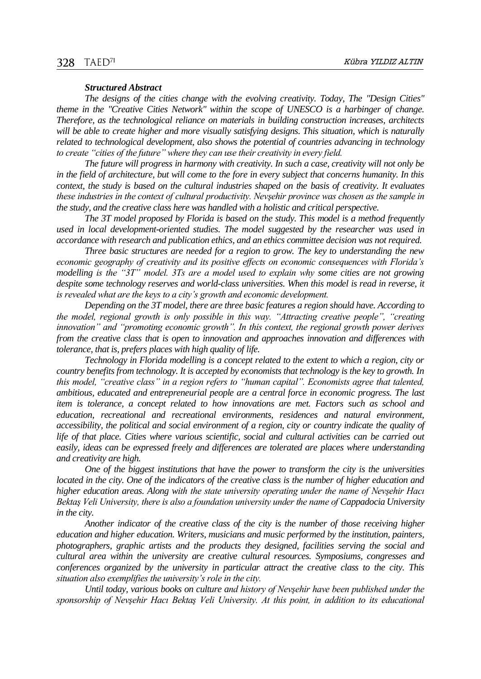### 328 TAED<sup>71</sup>

#### *Structured Abstract*

*The designs of the cities change with the evolving creativity. Today, The "Design Cities" theme in the "Creative Cities Network" within the scope of UNESCO is a harbinger of change. Therefore, as the technological reliance on materials in building construction increases, architects will be able to create higher and more visually satisfying designs. This situation, which is naturally related to technological development, also shows the potential of countries advancing in technology to create "cities of the future" where they can use their creativity in every field.*

*The future will progress in harmony with creativity. In such a case, creativity will not only be in the field of architecture, but will come to the fore in every subject that concerns humanity. In this context, the study is based on the cultural industries shaped on the basis of creativity. It evaluates these industries in the context of cultural productivity. Nevşehir province was chosen as the sample in the study, and the creative class here was handled with a holistic and critical perspective.*

*The 3T model proposed by Florida is based on the study. This model is a method frequently used in local development-oriented studies. The model suggested by the researcher was used in accordance with research and publication ethics, and an ethics committee decision was not required.*

*Three basic structures are needed for a region to grow. The key to understanding the new economic geography of creativity and its positive effects on economic consequences with Florida's modelling is the "3T" model. 3Ts are a model used to explain why some cities are not growing despite some technology reserves and world-class universities. When this model is read in reverse, it is revealed what are the keys to a city's growth and economic development.*

*Depending on the 3T model, there are three basic features a region should have. According to the model, regional growth is only possible in this way. "Attracting creative people", "creating innovation" and "promoting economic growth". In this context, the regional growth power derives from the creative class that is open to innovation and approaches innovation and differences with tolerance, that is, prefers places with high quality of life.*

*Technology in Florida modelling is a concept related to the extent to which a region, city or country benefits from technology. It is accepted by economists that technology is the key to growth. In this model, "creative class" in a region refers to "human capital". Economists agree that talented, ambitious, educated and entrepreneurial people are a central force in economic progress. The last item is tolerance, a concept related to how innovations are met. Factors such as school and education, recreational and recreational environments, residences and natural environment, accessibility, the political and social environment of a region, city or country indicate the quality of life of that place. Cities where various scientific, social and cultural activities can be carried out easily, ideas can be expressed freely and differences are tolerated are places where understanding and creativity are high.*

*One of the biggest institutions that have the power to transform the city is the universities located in the city. One of the indicators of the creative class is the number of higher education and higher education areas. Along with the state university operating under the name of Nevşehir Hacı Bektaş Veli University, there is also a foundation university under the name of Cappadocia University in the city.*

*Another indicator of the creative class of the city is the number of those receiving higher education and higher education. Writers, musicians and music performed by the institution, painters, photographers, graphic artists and the products they designed, facilities serving the social and cultural area within the university are creative cultural resources. Symposiums, congresses and conferences organized by the university in particular attract the creative class to the city. This situation also exemplifies the university's role in the city.*

*Until today, various books on culture and history of Nevşehir have been published under the sponsorship of Nevşehir Hacı Bektaş Veli University. At this point, in addition to its educational*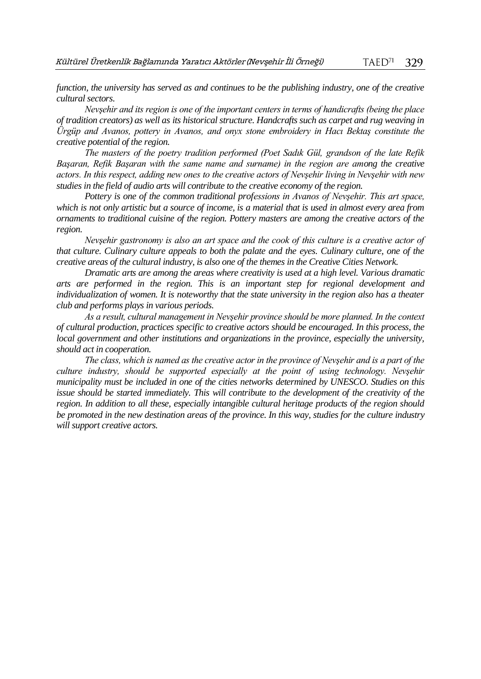*function, the university has served as and continues to be the publishing industry, one of the creative cultural sectors.*

*Nevşehir and its region is one of the important centers in terms of handicrafts (being the place of tradition creators) as well as its historical structure. Handcrafts such as carpet and rug weaving in Ürgüp and Avanos, pottery in Avanos, and onyx stone embroidery in Hacı Bektaş constitute the creative potential of the region.*

*The masters of the poetry tradition performed (Poet Sadık Gül, grandson of the late Refik Başaran, Refik Başaran with the same name and surname) in the region are among the creative actors. In this respect, adding new ones to the creative actors of Nevşehir living in Nevşehir with new studies in the field of audio arts will contribute to the creative economy of the region.*

*Pottery is one of the common traditional professions in Avanos of Nevşehir. This art space, which is not only artistic but a source of income, is a material that is used in almost every area from ornaments to traditional cuisine of the region. Pottery masters are among the creative actors of the region.*

*Nevşehir gastronomy is also an art space and the cook of this culture is a creative actor of that culture. Culinary culture appeals to both the palate and the eyes. Culinary culture, one of the creative areas of the cultural industry, is also one of the themes in the Creative Cities Network.*

*Dramatic arts are among the areas where creativity is used at a high level. Various dramatic arts are performed in the region. This is an important step for regional development and individualization of women. It is noteworthy that the state university in the region also has a theater club and performs plays in various periods.*

*As a result, cultural management in Nevşehir province should be more planned. In the context of cultural production, practices specific to creative actors should be encouraged. In this process, the local government and other institutions and organizations in the province, especially the university, should act in cooperation.*

*The class, which is named as the creative actor in the province of Nevşehir and is a part of the culture industry, should be supported especially at the point of using technology. Nevşehir municipality must be included in one of the cities networks determined by UNESCO. Studies on this issue should be started immediately. This will contribute to the development of the creativity of the region. In addition to all these, especially intangible cultural heritage products of the region should be promoted in the new destination areas of the province. In this way, studies for the culture industry will support creative actors.*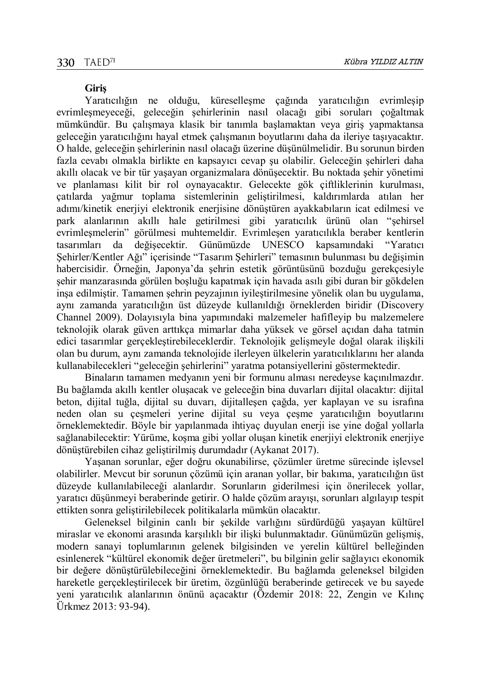#### **Giriş**

Yaratıcılığın ne olduğu, küreselleşme çağında yaratıcılığın evrimleşip evrimleşmeyeceği, geleceğin şehirlerinin nasıl olacağı gibi soruları çoğaltmak mümkündür. Bu çalışmaya klasik bir tanımla başlamaktan veya giriş yapmaktansa geleceğin yaratıcılığını hayal etmek çalışmanın boyutlarını daha da ileriye taşıyacaktır. O halde, geleceğin şehirlerinin nasıl olacağı üzerine düşünülmelidir. Bu sorunun birden fazla cevabı olmakla birlikte en kapsayıcı cevap şu olabilir. Geleceğin şehirleri daha akıllı olacak ve bir tür yaşayan organizmalara dönüşecektir. Bu noktada şehir yönetimi ve planlaması kilit bir rol oynayacaktır. Gelecekte gök çiftliklerinin kurulması, çatılarda yağmur toplama sistemlerinin geliştirilmesi, kaldırımlarda atılan her adımı/kinetik enerjiyi elektronik enerjisine dönüştüren ayakkabıların icat edilmesi ve park alanlarının akıllı hale getirilmesi gibi yaratıcılık ürünü olan "şehirsel evrimleşmelerin" görülmesi muhtemeldir. Evrimleşen yaratıcılıkla beraber kentlerin tasarımları da değişecektir. Günümüzde UNESCO kapsamındaki "Yaratıcı Şehirler/Kentler Ağı" içerisinde "Tasarım Şehirleri" temasının bulunması bu değişimin habercisidir. Örneğin, Japonya'da şehrin estetik görüntüsünü bozduğu gerekçesiyle şehir manzarasında görülen boşluğu kapatmak için havada asılı gibi duran bir gökdelen inşa edilmiştir. Tamamen şehrin peyzajının iyileştirilmesine yönelik olan bu uygulama, aynı zamanda yaratıcılığın üst düzeyde kullanıldığı örneklerden biridir (Discovery Channel 2009). Dolayısıyla bina yapımındaki malzemeler hafifleyip bu malzemelere teknolojik olarak güven arttıkça mimarlar daha yüksek ve görsel açıdan daha tatmin edici tasarımlar gerçekleştirebileceklerdir. Teknolojik gelişmeyle doğal olarak ilişkili olan bu durum, aynı zamanda teknolojide ilerleyen ülkelerin yaratıcılıklarını her alanda kullanabilecekleri "geleceğin şehirlerini" yaratma potansiyellerini göstermektedir.

Binaların tamamen medyanın yeni bir formunu alması neredeyse kaçınılmazdır. Bu bağlamda akıllı kentler oluşacak ve geleceğin bina duvarları dijital olacaktır: dijital beton, dijital tuğla, dijital su duvarı, dijitalleşen çağda, yer kaplayan ve su israfına neden olan su çeşmeleri yerine dijital su veya çeşme yaratıcılığın boyutlarını örneklemektedir. Böyle bir yapılanmada ihtiyaç duyulan enerji ise yine doğal yollarla sağlanabilecektir: Yürüme, koşma gibi yollar oluşan kinetik enerjiyi elektronik enerjiye dönüştürebilen cihaz geliştirilmiş durumdadır (Aykanat 2017).

Yaşanan sorunlar, eğer doğru okunabilirse, çözümler üretme sürecinde işlevsel olabilirler. Mevcut bir sorunun çözümü için aranan yollar, bir bakıma, yaratıcılığın üst düzeyde kullanılabileceği alanlardır. Sorunların giderilmesi için önerilecek yollar, yaratıcı düşünmeyi beraberinde getirir. O halde çözüm arayışı, sorunları algılayıp tespit ettikten sonra geliştirilebilecek politikalarla mümkün olacaktır.

Geleneksel bilginin canlı bir şekilde varlığını sürdürdüğü yaşayan kültürel miraslar ve ekonomi arasında karşılıklı bir ilişki bulunmaktadır. Günümüzün gelişmiş, modern sanayi toplumlarının gelenek bilgisinden ve yerelin kültürel belleğinden esinlenerek "kültürel ekonomik değer üretmeleri", bu bilginin gelir sağlayıcı ekonomik bir değere dönüştürülebileceğini örneklemektedir. Bu bağlamda geleneksel bilgiden hareketle gerçekleştirilecek bir üretim, özgünlüğü beraberinde getirecek ve bu sayede yeni yaratıcılık alanlarının önünü açacaktır (Özdemir 2018: 22, Zengin ve Kılınç Ürkmez 2013: 93-94).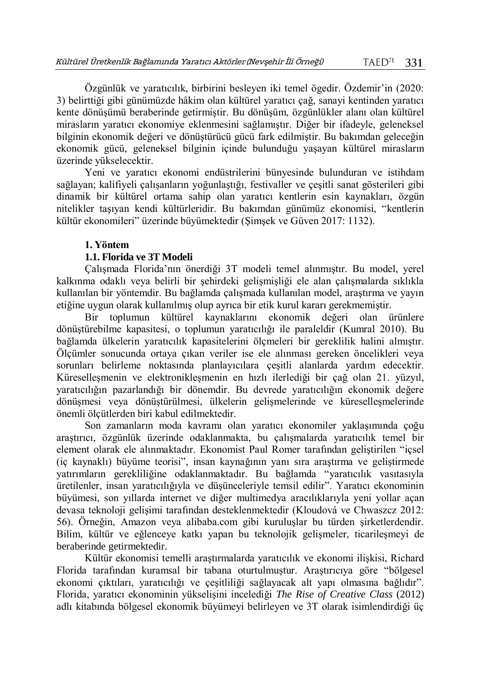Özgünlük ve yaratıcılık, birbirini besleyen iki temel ögedir. Özdemir'in (2020: 3) belirttiği gibi günümüzde hâkim olan kültürel yaratıcı çağ, sanayi kentinden yaratıcı kente dönüşümü beraberinde getirmiştir. Bu dönüşüm, özgünlükler alanı olan kültürel mirasların yaratıcı ekonomiye eklenmesini sağlamıştır. Diğer bir ifadeyle, geleneksel bilginin ekonomik değeri ve dönüştürücü gücü fark edilmiştir. Bu bakımdan geleceğin ekonomik gücü, geleneksel bilginin içinde bulunduğu yaşayan kültürel mirasların üzerinde yükselecektir.

Yeni ve yaratıcı ekonomi endüstrilerini bünyesinde bulunduran ve istihdam sağlayan; kalifiyeli çalışanların yoğunlaştığı, festivaller ve çeşitli sanat gösterileri gibi dinamik bir kültürel ortama sahip olan yaratıcı kentlerin esin kaynakları, özgün nitelikler taşıyan kendi kültürleridir. Bu bakımdan günümüz ekonomisi, "kentlerin kültür ekonomileri" üzerinde büyümektedir (Şimşek ve Güven 2017: 1132).

### **1. Yöntem**

## **1.1. Florida ve 3T Modeli**

Çalışmada Florida'nın önerdiği 3T modeli temel alınmıştır. Bu model, yerel kalkınma odaklı veya belirli bir şehirdeki gelişmişliği ele alan çalışmalarda sıklıkla kullanılan bir yöntemdir. Bu bağlamda çalışmada kullanılan model, araştırma ve yayın etiğine uygun olarak kullanılmış olup ayrıca bir etik kurul kararı gerekmemiştir.

Bir toplumun kültürel kaynaklarını ekonomik değeri olan ürünlere dönüştürebilme kapasitesi, o toplumun yaratıcılığı ile paraleldir (Kumral 2010). Bu bağlamda ülkelerin yaratıcılık kapasitelerini ölçmeleri bir gereklilik halini almıştır. Ölçümler sonucunda ortaya çıkan veriler ise ele alınması gereken öncelikleri veya sorunları belirleme noktasında planlayıcılara çeşitli alanlarda yardım edecektir. Küreselleşmenin ve elektronikleşmenin en hızlı ilerlediği bir çağ olan 21. yüzyıl, yaratıcılığın pazarlandığı bir dönemdir. Bu devrede yaratıcılığın ekonomik değere dönüşmesi veya dönüştürülmesi, ülkelerin gelişmelerinde ve küreselleşmelerinde önemli ölçütlerden biri kabul edilmektedir.

Son zamanların moda kavramı olan yaratıcı ekonomiler yaklaşımında çoğu araştırıcı, özgünlük üzerinde odaklanmakta, bu çalışmalarda yaratıcılık temel bir element olarak ele alınmaktadır. Ekonomist Paul Romer tarafından geliştirilen "içsel (iç kaynaklı) büyüme teorisi", insan kaynağının yanı sıra araştırma ve geliştirmede yatırımların gerekliliğine odaklanmaktadır. Bu bağlamda "yaratıcılık vasıtasıyla üretilenler, insan yaratıcılığıyla ve düşünceleriyle temsil edilir". Yaratıcı ekonominin büyümesi, son yıllarda internet ve diğer multimedya aracılıklarıyla yeni yollar açan devasa teknoloji gelişimi tarafından desteklenmektedir (Kloudová ve Chwaszcz 2012: 56). Örneğin, Amazon veya alibaba.com gibi kuruluşlar bu türden şirketlerdendir. Bilim, kültür ve eğlenceye katkı yapan bu teknolojik gelişmeler, ticarileşmeyi de beraberinde getirmektedir.

Kültür ekonomisi temelli araştırmalarda yaratıcılık ve ekonomi ilişkisi, Richard Florida tarafından kuramsal bir tabana oturtulmuştur. Araştırıcıya göre "bölgesel ekonomi çıktıları, yaratıcılığı ve çeşitliliği sağlayacak alt yapı olmasına bağlıdır". Florida, yaratıcı ekonominin yükselişini incelediği *The Rise of Creative Class* (2012) adlı kitabında bölgesel ekonomik büyümeyi belirleyen ve 3T olarak isimlendirdiği üç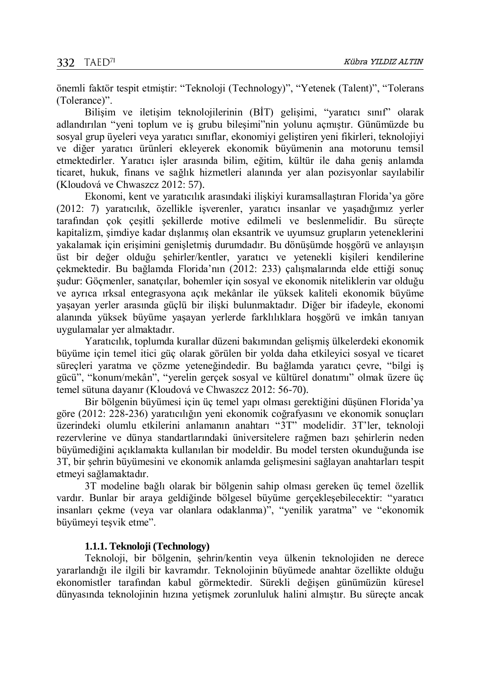önemli faktör tespit etmiştir: "Teknoloji (Technology)", "Yetenek (Talent)", "Tolerans (Tolerance)".

Bilişim ve iletişim teknolojilerinin (BİT) gelişimi, "yaratıcı sınıf" olarak adlandırılan "yeni toplum ve iş grubu bileşimi"nin yolunu açmıştır. Günümüzde bu sosyal grup üyeleri veya yaratıcı sınıflar, ekonomiyi geliştiren yeni fikirleri, teknolojiyi ve diğer yaratıcı ürünleri ekleyerek ekonomik büyümenin ana motorunu temsil etmektedirler. Yaratıcı işler arasında bilim, eğitim, kültür ile daha geniş anlamda ticaret, hukuk, finans ve sağlık hizmetleri alanında yer alan pozisyonlar sayılabilir (Kloudová ve Chwaszcz 2012: 57).

Ekonomi, kent ve yaratıcılık arasındaki ilişkiyi kuramsallaştıran Florida'ya göre (2012: 7) yaratıcılık, özellikle işverenler, yaratıcı insanlar ve yaşadığımız yerler tarafından çok çeşitli şekillerde motive edilmeli ve beslenmelidir. Bu süreçte kapitalizm, şimdiye kadar dışlanmış olan eksantrik ve uyumsuz grupların yeteneklerini yakalamak için erişimini genişletmiş durumdadır. Bu dönüşümde hoşgörü ve anlayışın üst bir değer olduğu şehirler/kentler, yaratıcı ve yetenekli kişileri kendilerine çekmektedir. Bu bağlamda Florida'nın (2012: 233) çalışmalarında elde ettiği sonuç şudur: Göçmenler, sanatçılar, bohemler için sosyal ve ekonomik niteliklerin var olduğu ve ayrıca ırksal entegrasyona açık mekânlar ile yüksek kaliteli ekonomik büyüme yaşayan yerler arasında güçlü bir ilişki bulunmaktadır. Diğer bir ifadeyle, ekonomi alanında yüksek büyüme yaşayan yerlerde farklılıklara hoşgörü ve imkân tanıyan uygulamalar yer almaktadır.

Yaratıcılık, toplumda kurallar düzeni bakımından gelişmiş ülkelerdeki ekonomik büyüme için temel itici güç olarak görülen bir yolda daha etkileyici sosyal ve ticaret süreçleri yaratma ve çözme yeteneğindedir. Bu bağlamda yaratıcı çevre, "bilgi iş gücü", "konum/mekân", "yerelin gerçek sosyal ve kültürel donatımı" olmak üzere üç temel sütuna dayanır (Kloudová ve Chwaszcz 2012: 56-70).

Bir bölgenin büyümesi için üç temel yapı olması gerektiğini düşünen Florida'ya göre (2012: 228-236) yaratıcılığın yeni ekonomik coğrafyasını ve ekonomik sonuçları üzerindeki olumlu etkilerini anlamanın anahtarı "3T" modelidir. 3T'ler, teknoloji rezervlerine ve dünya standartlarındaki üniversitelere rağmen bazı şehirlerin neden büyümediğini açıklamakta kullanılan bir modeldir. Bu model tersten okunduğunda ise 3T, bir şehrin büyümesini ve ekonomik anlamda gelişmesini sağlayan anahtarları tespit etmeyi sağlamaktadır.

3T modeline bağlı olarak bir bölgenin sahip olması gereken üç temel özellik vardır. Bunlar bir araya geldiğinde bölgesel büyüme gerçekleşebilecektir: "yaratıcı insanları çekme (veya var olanlara odaklanma)", "yenilik yaratma" ve "ekonomik büyümeyi teşvik etme".

### **1.1.1. Teknoloji (Technology)**

Teknoloji, bir bölgenin, şehrin/kentin veya ülkenin teknolojiden ne derece yararlandığı ile ilgili bir kavramdır. Teknolojinin büyümede anahtar özellikte olduğu ekonomistler tarafından kabul görmektedir. Sürekli değişen günümüzün küresel dünyasında teknolojinin hızına yetişmek zorunluluk halini almıştır. Bu süreçte ancak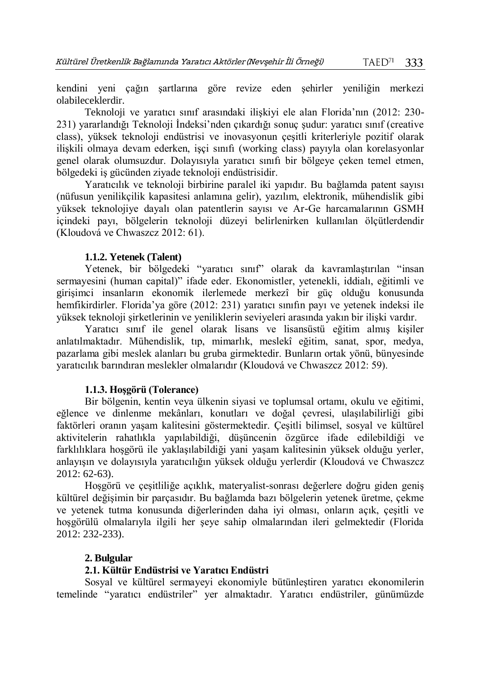kendini yeni çağın şartlarına göre revize eden şehirler yeniliğin merkezi olabileceklerdir.

Teknoloji ve yaratıcı sınıf arasındaki ilişkiyi ele alan Florida'nın (2012: 230- 231) yararlandığı Teknoloji İndeksi'nden çıkardığı sonuç şudur: yaratıcı sınıf (creative class), yüksek teknoloji endüstrisi ve inovasyonun çeşitli kriterleriyle pozitif olarak ilişkili olmaya devam ederken, işçi sınıfı (working class) payıyla olan korelasyonlar genel olarak olumsuzdur. Dolayısıyla yaratıcı sınıfı bir bölgeye çeken temel etmen, bölgedeki iş gücünden ziyade teknoloji endüstrisidir.

Yaratıcılık ve teknoloji birbirine paralel iki yapıdır. Bu bağlamda patent sayısı (nüfusun yenilikçilik kapasitesi anlamına gelir), yazılım, elektronik, mühendislik gibi yüksek teknolojiye dayalı olan patentlerin sayısı ve Ar-Ge harcamalarının GSMH içindeki payı, bölgelerin teknoloji düzeyi belirlenirken kullanılan ölçütlerdendir (Kloudová ve Chwaszcz 2012: 61).

#### **1.1.2. Yetenek (Talent)**

Yetenek, bir bölgedeki "yaratıcı sınıf" olarak da kavramlaştırılan "insan sermayesini (human capital)" ifade eder. Ekonomistler, yetenekli, iddialı, eğitimli ve girişimci insanların ekonomik ilerlemede merkezî bir güç olduğu konusunda hemfikirdirler. Florida'ya göre (2012: 231) yaratıcı sınıfın payı ve yetenek indeksi ile yüksek teknoloji şirketlerinin ve yeniliklerin seviyeleri arasında yakın bir ilişki vardır.

Yaratıcı sınıf ile genel olarak lisans ve lisansüstü eğitim almış kişiler anlatılmaktadır. Mühendislik, tıp, mimarlık, meslekî eğitim, sanat, spor, medya, pazarlama gibi meslek alanları bu gruba girmektedir. Bunların ortak yönü, bünyesinde yaratıcılık barındıran meslekler olmalarıdır (Kloudová ve Chwaszcz 2012: 59).

### **1.1.3. Hoşgörü (Tolerance)**

Bir bölgenin, kentin veya ülkenin siyasi ve toplumsal ortamı, okulu ve eğitimi, eğlence ve dinlenme mekânları, konutları ve doğal çevresi, ulaşılabilirliği gibi faktörleri oranın yaşam kalitesini göstermektedir. Çeşitli bilimsel, sosyal ve kültürel aktivitelerin rahatlıkla yapılabildiği, düşüncenin özgürce ifade edilebildiği ve farklılıklara hoşgörü ile yaklaşılabildiği yani yaşam kalitesinin yüksek olduğu yerler, anlayışın ve dolayısıyla yaratıcılığın yüksek olduğu yerlerdir (Kloudová ve Chwaszcz 2012: 62-63).

Hoşgörü ve çeşitliliğe açıklık, materyalist-sonrası değerlere doğru giden geniş kültürel değişimin bir parçasıdır. Bu bağlamda bazı bölgelerin yetenek üretme, çekme ve yetenek tutma konusunda diğerlerinden daha iyi olması, onların açık, çeşitli ve hoşgörülü olmalarıyla ilgili her şeye sahip olmalarından ileri gelmektedir (Florida 2012: 232-233).

#### **2. Bulgular**

### **2.1. Kültür Endüstrisi ve Yaratıcı Endüstri**

Sosyal ve kültürel sermayeyi ekonomiyle bütünleştiren yaratıcı ekonomilerin temelinde "yaratıcı endüstriler" yer almaktadır. Yaratıcı endüstriler, günümüzde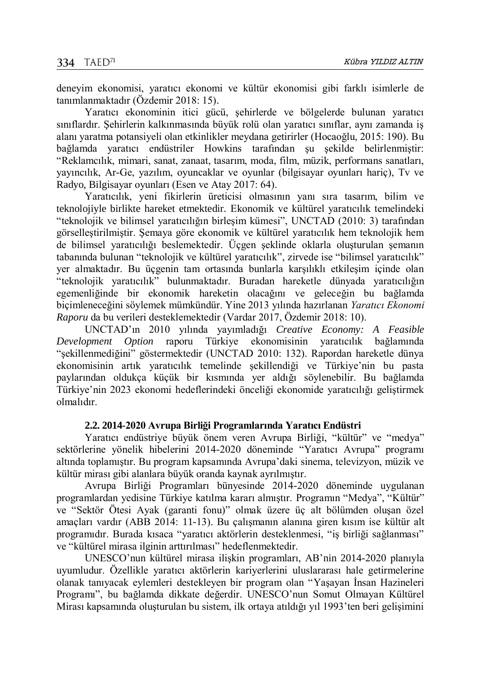deneyim ekonomisi, yaratıcı ekonomi ve kültür ekonomisi gibi farklı isimlerle de tanımlanmaktadır (Özdemir 2018: 15).

Yaratıcı ekonominin itici gücü, şehirlerde ve bölgelerde bulunan yaratıcı sınıflardır. Şehirlerin kalkınmasında büyük rolü olan yaratıcı sınıflar, aynı zamanda iş alanı yaratma potansiyeli olan etkinlikler meydana getirirler (Hocaoğlu, 2015: 190). Bu bağlamda yaratıcı endüstriler Howkins tarafından şu şekilde belirlenmiştir: "Reklamcılık, mimari, sanat, zanaat, tasarım, moda, film, müzik, performans sanatları, yayıncılık, Ar-Ge, yazılım, oyuncaklar ve oyunlar (bilgisayar oyunları hariç), Tv ve Radyo, Bilgisayar oyunları (Esen ve Atay 2017: 64).

Yaratıcılık, yeni fikirlerin üreticisi olmasının yanı sıra tasarım, bilim ve teknolojiyle birlikte hareket etmektedir. Ekonomik ve kültürel yaratıcılık temelindeki "teknolojik ve bilimsel yaratıcılığın birleşim kümesi", UNCTAD (2010: 3) tarafından görselleştirilmiştir. Şemaya göre ekonomik ve kültürel yaratıcılık hem teknolojik hem de bilimsel yaratıcılığı beslemektedir. Üçgen şeklinde oklarla oluşturulan şemanın tabanında bulunan "teknolojik ve kültürel yaratıcılık", zirvede ise "bilimsel yaratıcılık" yer almaktadır. Bu üçgenin tam ortasında bunlarla karşılıklı etkileşim içinde olan "teknolojik yaratıcılık" bulunmaktadır. Buradan hareketle dünyada yaratıcılığın egemenliğinde bir ekonomik hareketin olacağını ve geleceğin bu bağlamda biçimleneceğini söylemek mümkündür. Yine 2013 yılında hazırlanan *Yaratıcı Ekonomi Raporu* da bu verileri desteklemektedir (Vardar 2017, Özdemir 2018: 10).

UNCTAD'ın 2010 yılında yayımladığı *Creative Economy: A Feasible Development Option* raporu Türkiye ekonomisinin yaratıcılık bağlamında "şekillenmediğini" göstermektedir (UNCTAD 2010: 132). Rapordan hareketle dünya ekonomisinin artık yaratıcılık temelinde şekillendiği ve Türkiye'nin bu pasta paylarından oldukça küçük bir kısmında yer aldığı söylenebilir. Bu bağlamda Türkiye'nin 2023 ekonomi hedeflerindeki önceliği ekonomide yaratıcılığı geliştirmek olmalıdır.

#### **2.2. 2014-2020 Avrupa Birliği Programlarında Yaratıcı Endüstri**

Yaratıcı endüstriye büyük önem veren Avrupa Birliği, "kültür" ve "medya" sektörlerine yönelik hibelerini 2014-2020 döneminde "Yaratıcı Avrupa" programı altında toplamıştır. Bu program kapsamında Avrupa'daki sinema, televizyon, müzik ve kültür mirası gibi alanlara büyük oranda kaynak ayrılmıştır.

Avrupa Birliği Programları bünyesinde 2014-2020 döneminde uygulanan programlardan yedisine Türkiye katılma kararı almıştır. Programın "Medya", "Kültür" ve "Sektör Ötesi Ayak (garanti fonu)" olmak üzere üç alt bölümden oluşan özel amaçları vardır (ABB 2014: 11-13). Bu çalışmanın alanına giren kısım ise kültür alt programıdır. Burada kısaca "yaratıcı aktörlerin desteklenmesi, "iş birliği sağlanması" ve "kültürel mirasa ilginin arttırılması" hedeflenmektedir.

UNESCO'nun kültürel mirasa ilişkin programları, AB'nin 2014-2020 planıyla uyumludur. Özellikle yaratıcı aktörlerin kariyerlerini uluslararası hale getirmelerine olanak tanıyacak eylemleri destekleyen bir program olan "Yaşayan İnsan Hazineleri Programı", bu bağlamda dikkate değerdir. UNESCO'nun Somut Olmayan Kültürel Mirası kapsamında oluşturulan bu sistem, ilk ortaya atıldığı yıl 1993'ten beri gelişimini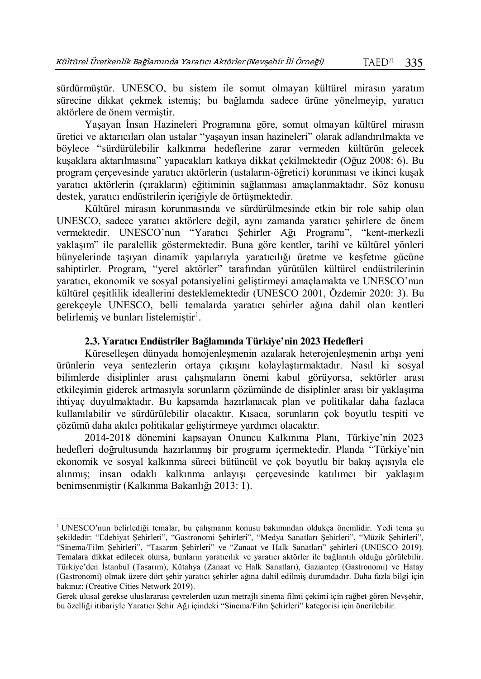sürdürmüştür. UNESCO, bu sistem ile somut olmayan kültürel mirasın yaratım sürecine dikkat çekmek istemiş; bu bağlamda sadece ürüne yönelmeyip, yaratıcı aktörlere de önem vermiştir.

Yaşayan İnsan Hazineleri Programına göre, somut olmayan kültürel mirasın üretici ve aktarıcıları olan ustalar "yaşayan insan hazineleri" olarak adlandırılmakta ve böylece "sürdürülebilir kalkınma hedeflerine zarar vermeden kültürün gelecek kuşaklara aktarılmasına" yapacakları katkıya dikkat çekilmektedir (Oğuz 2008: 6). Bu program çerçevesinde yaratıcı aktörlerin (ustaların-öğretici) korunması ve ikinci kuşak yaratıcı aktörlerin (çırakların) eğitiminin sağlanması amaçlanmaktadır. Söz konusu destek, varatıcı endüstrilerin içeriğiyle de örtüşmektedir.

Kültürel mirasın korunmasında ve sürdürülmesinde etkin bir role sahip olan UNESCO, sadece yaratıcı aktörlere değil, aynı zamanda yaratıcı şehirlere de önem vermektedir. UNESCO'nun "Yaratıcı Şehirler Ağı Programı", "kent-merkezli yaklaşım" ile paralellik göstermektedir. Buna göre kentler, tarihî ve kültürel yönleri bünyelerinde taşıyan dinamik yapılarıyla yaratıcılığı üretme ve keşfetme gücüne sahiptirler. Program, "yerel aktörler" tarafından yürütülen kültürel endüstrilerinin yaratıcı, ekonomik ve sosyal potansiyelini geliştirmeyi amaçlamakta ve UNESCO'nun kültürel çeşitlilik ideallerini desteklemektedir (UNESCO 2001, Özdemir 2020: 3). Bu gerekçeyle UNESCO, belli temalarda yaratıcı şehirler ağına dahil olan kentleri belirlemiş ve bunları listelemiştir<sup>1</sup>.

## **2.3. Yaratıcı Endüstriler Bağlamında Türkiye'nin 2023 Hedefleri**

Küreselleşen dünyada homojenleşmenin azalarak heterojenleşmenin artışı yeni ürünlerin veya sentezlerin ortaya çıkışını kolaylaştırmaktadır. Nasıl ki sosyal bilimlerde disiplinler arası çalışmaların önemi kabul görüyorsa, sektörler arası etkileşimin giderek artmasıyla sorunların çözümünde de disiplinler arası bir yaklaşıma ihtiyaç duyulmaktadır. Bu kapsamda hazırlanacak plan ve politikalar daha fazlaca kullanılabilir ve sürdürülebilir olacaktır. Kısaca, sorunların çok boyutlu tespiti ve çözümü daha akılcı politikalar geliştirmeye yardımcı olacaktır.

2014-2018 dönemini kapsayan Onuncu Kalkınma Planı, Türkiye'nin 2023 hedefleri doğrultusunda hazırlanmış bir programı içermektedir. Planda "Türkiye'nin ekonomik ve sosyal kalkınma süreci bütüncül ve çok boyutlu bir bakış açısıyla ele alınmış; insan odaklı kalkınma anlayışı çerçevesinde katılımcı bir yaklaşım benimsenmiştir (Kalkınma Bakanlığı 2013: 1).

 $\overline{a}$ 

<sup>1</sup> UNESCO'nun belirlediği temalar, bu çalışmanın konusu bakımından oldukça önemlidir. Yedi tema şu şekildedir: "Edebiyat Şehirleri", "Gastronomi Şehirleri", "Medya Sanatları Şehirleri", "Müzik Şehirleri", "Sinema/Film Şehirleri", "Tasarım Şehirleri" ve "Zanaat ve Halk Sanatları" şehirleri (UNESCO 2019). Temalara dikkat edilecek olursa, bunların yaratıcılık ve yaratıcı aktörler ile bağlantılı olduğu görülebilir. Türkiye'den İstanbul (Tasarım), Kütahya (Zanaat ve Halk Sanatları), Gaziantep (Gastronomi) ve Hatay (Gastronomi) olmak üzere dört şehir yaratıcı şehirler ağına dahil edilmiş durumdadır. Daha fazla bilgi için bakınız: (Creative Cities Network 2019).

Gerek ulusal gerekse uluslararası çevrelerden uzun metrajlı sinema filmi çekimi için rağbet gören Nevşehir, bu özelliği itibariyle Yaratıcı Şehir Ağı içindeki "Sinema/Film Şehirleri" kategorisi için önerilebilir.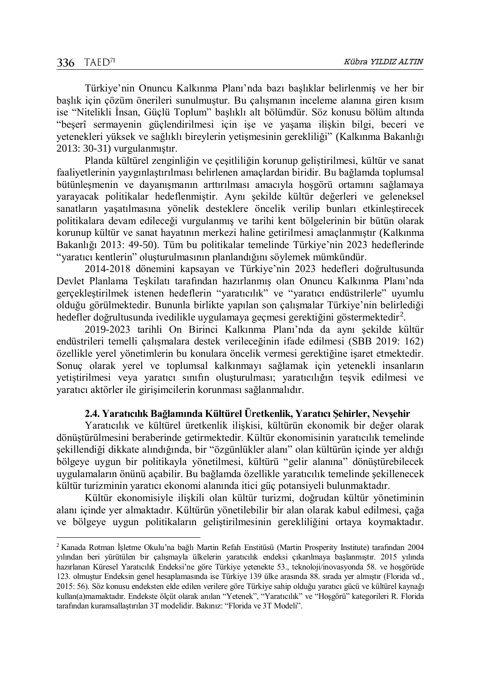$\overline{a}$ 

Türkiye'nin Onuncu Kalkınma Planı'nda bazı başlıklar belirlenmiş ve her bir başlık için çözüm önerileri sunulmuştur. Bu çalışmanın inceleme alanına giren kısım ise "Nitelikli İnsan, Güçlü Toplum" başlıklı alt bölümdür. Söz konusu bölüm altında "beşerî sermayenin güçlendirilmesi için işe ve yaşama ilişkin bilgi, beceri ve yetenekleri yüksek ve sağlıklı bireylerin yetişmesinin gerekliliği" (Kalkınma Bakanlığı 2013: 30-31) vurgulanmıştır.

Planda kültürel zenginliğin ve çeşitliliğin korunup geliştirilmesi, kültür ve sanat faaliyetlerinin yaygınlaştırılması belirlenen amaçlardan biridir. Bu bağlamda toplumsal bütünleşmenin ve dayanışmanın arttırılması amacıyla hoşgörü ortamını sağlamaya yarayacak politikalar hedeflenmiştir. Aynı şekilde kültür değerleri ve geleneksel sanatların yaşatılmasına yönelik desteklere öncelik verilip bunları etkinleştirecek politikalara devam edileceği vurgulanmış ve tarihi kent bölgelerinin bir bütün olarak korunup kültür ve sanat hayatının merkezi haline getirilmesi amaçlanmıştır (Kalkınma Bakanlığı 2013: 49-50). Tüm bu politikalar temelinde Türkiye'nin 2023 hedeflerinde "yaratıcı kentlerin" oluşturulmasının planlandığını söylemek mümkündür.

2014-2018 dönemini kapsayan ve Türkiye'nin 2023 hedefleri doğrultusunda Devlet Planlama Teşkilatı tarafından hazırlanmış olan Onuncu Kalkınma Planı'nda gerçekleştirilmek istenen hedeflerin "yaratıcılık" ve "yaratıcı endüstrilerle" uyumlu olduğu görülmektedir. Bununla birlikte yapılan son çalışmalar Türkiye'nin belirlediği hedefler doğrultusunda ivedilikle uygulamaya geçmesi gerektiğini göstermektedir<sup>2</sup>.

2019-2023 tarihli On Birinci Kalkınma Planı'nda da aynı şekilde kültür endüstrileri temelli çalışmalara destek verileceğinin ifade edilmesi (SBB 2019: 162) özellikle yerel yönetimlerin bu konulara öncelik vermesi gerektiğine işaret etmektedir. Sonuç olarak yerel ve toplumsal kalkınmayı sağlamak için yetenekli insanların yetiştirilmesi veya yaratıcı sınıfın oluşturulması; yaratıcılığın teşvik edilmesi ve yaratıcı aktörler ile girişimcilerin korunması sağlanmalıdır.

## **2.4. Yaratıcılık Bağlamında Kültürel Üretkenlik, Yaratıcı Şehirler, Nevşehir**

Yaratıcılık ve kültürel üretkenlik ilişkisi, kültürün ekonomik bir değer olarak dönüştürülmesini beraberinde getirmektedir. Kültür ekonomisinin yaratıcılık temelinde şekillendiği dikkate alındığında, bir "özgünlükler alanı" olan kültürün içinde yer aldığı bölgeye uygun bir politikayla yönetilmesi, kültürü "gelir alanına" dönüştürebilecek uygulamaların önünü açabilir. Bu bağlamda özellikle yaratıcılık temelinde şekillenecek kültür turizminin yaratıcı ekonomi alanında itici güç potansiyeli bulunmaktadır.

Kültür ekonomisiyle ilişkili olan kültür turizmi, doğrudan kültür yönetiminin alanı içinde yer almaktadır. Kültürün yönetilebilir bir alan olarak kabul edilmesi, çağa ve bölgeye uygun politikaların geliştirilmesinin gerekliliğini ortaya koymaktadır.

<sup>2</sup> Kanada Rotman İşletme Okulu'na bağlı Martin Refah Enstitüsü (Martin Prosperity Institute) tarafından 2004 yılından beri yürütülen bir çalışmayla ülkelerin yaratıcılık endeksi çıkarılmaya başlanmıştır. 2015 yılında hazırlanan Küresel Yaratıcılık Endeksi'ne göre Türkiye yetenekte 53., teknoloji/inovasyonda 58. ve hoşgörüde 123. olmuştur Endeksin genel hesaplamasında ise Türkiye 139 ülke arasında 88. sırada yer almıştır (Florida vd., 2015: 56). Söz konusu endeksten elde edilen verilere göre Türkiye sahip olduğu yaratıcı gücü ve kültürel kaynağı kullan(a)mamaktadır. Endekste ölçüt olarak anılan "Yetenek", "Yaratıcılık" ve "Hoşgörü" kategorileri R. Florida tarafından kuramsallaştırılan 3T modelidir. Bakınız: "Florida ve 3T Modeli".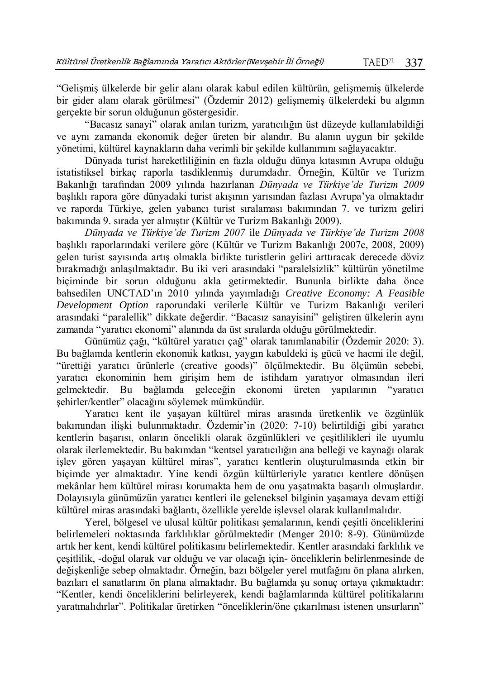"Gelişmiş ülkelerde bir gelir alanı olarak kabul edilen kültürün, gelişmemiş ülkelerde bir gider alanı olarak görülmesi" (Özdemir 2012) gelişmemiş ülkelerdeki bu algının gerçekte bir sorun olduğunun göstergesidir.

"Bacasız sanayi" olarak anılan turizm, yaratıcılığın üst düzeyde kullanılabildiği ve aynı zamanda ekonomik değer üreten bir alandır. Bu alanın uygun bir şekilde yönetimi, kültürel kaynakların daha verimli bir şekilde kullanımını sağlayacaktır.

Dünyada turist hareketliliğinin en fazla olduğu dünya kıtasının Avrupa olduğu istatistiksel birkaç raporla tasdiklenmiş durumdadır. Örneğin, Kültür ve Turizm Bakanlığı tarafından 2009 yılında hazırlanan *Dünyada ve Türkiye'de Turizm 2009* başlıklı rapora göre dünyadaki turist akışının yarısından fazlası Avrupa'ya olmaktadır ve raporda Türkiye, gelen yabancı turist sıralaması bakımından 7. ve turizm geliri bakımında 9. sırada yer almıştır (Kültür ve Turizm Bakanlığı 2009).

*Dünyada ve Türkiye'de Turizm 2007* ile *Dünyada ve Türkiye'de Turizm 2008*  başlıklı raporlarındaki verilere göre (Kültür ve Turizm Bakanlığı 2007c, 2008, 2009) gelen turist sayısında artış olmakla birlikte turistlerin geliri arttıracak derecede döviz bırakmadığı anlaşılmaktadır. Bu iki veri arasındaki "paralelsizlik" kültürün yönetilme biçiminde bir sorun olduğunu akla getirmektedir. Bununla birlikte daha önce bahsedilen UNCTAD'ın 2010 yılında yayımladığı *Creative Economy: A Feasible Development Option* raporundaki verilerle Kültür ve Turizm Bakanlığı verileri arasındaki "paralellik" dikkate değerdir. "Bacasız sanayisini" geliştiren ülkelerin aynı zamanda "yaratıcı ekonomi" alanında da üst sıralarda olduğu görülmektedir.

Günümüz çağı, "kültürel yaratıcı çağ" olarak tanımlanabilir (Özdemir 2020: 3). Bu bağlamda kentlerin ekonomik katkısı, yaygın kabuldeki iş gücü ve hacmi ile değil, "ürettiği yaratıcı ürünlerle (creative goods)" ölçülmektedir. Bu ölçümün sebebi, yaratıcı ekonominin hem girişim hem de istihdam yaratıyor olmasından ileri gelmektedir. Bu bağlamda geleceğin ekonomi üreten yapılarının "yaratıcı şehirler/kentler" olacağını söylemek mümkündür.

Yaratıcı kent ile yaşayan kültürel miras arasında üretkenlik ve özgünlük bakımından ilişki bulunmaktadır. Özdemir'in (2020: 7-10) belirtildiği gibi yaratıcı kentlerin başarısı, onların öncelikli olarak özgünlükleri ve çeşitlilikleri ile uyumlu olarak ilerlemektedir. Bu bakımdan "kentsel yaratıcılığın ana belleği ve kaynağı olarak işlev gören yaşayan kültürel miras", yaratıcı kentlerin oluşturulmasında etkin bir biçimde yer almaktadır. Yine kendi özgün kültürleriyle yaratıcı kentlere dönüşen mekânlar hem kültürel mirası korumakta hem de onu yaşatmakta başarılı olmuşlardır. Dolayısıyla günümüzün yaratıcı kentleri ile geleneksel bilginin yaşamaya devam ettiği kültürel miras arasındaki bağlantı, özellikle yerelde işlevsel olarak kullanılmalıdır.

Yerel, bölgesel ve ulusal kültür politikası şemalarının, kendi çeşitli önceliklerini belirlemeleri noktasında farklılıklar görülmektedir (Menger 2010: 8-9). Günümüzde artık her kent, kendi kültürel politikasını belirlemektedir. Kentler arasındaki farklılık ve çeşitlilik, -doğal olarak var olduğu ve var olacağı için- önceliklerin belirlenmesinde de değişkenliğe sebep olmaktadır. Örneğin, bazı bölgeler yerel mutfağını ön plana alırken, bazıları el sanatlarını ön plana almaktadır. Bu bağlamda şu sonuç ortaya çıkmaktadır: "Kentler, kendi önceliklerini belirleyerek, kendi bağlamlarında kültürel politikalarını yaratmalıdırlar". Politikalar üretirken "önceliklerin/öne çıkarılması istenen unsurların"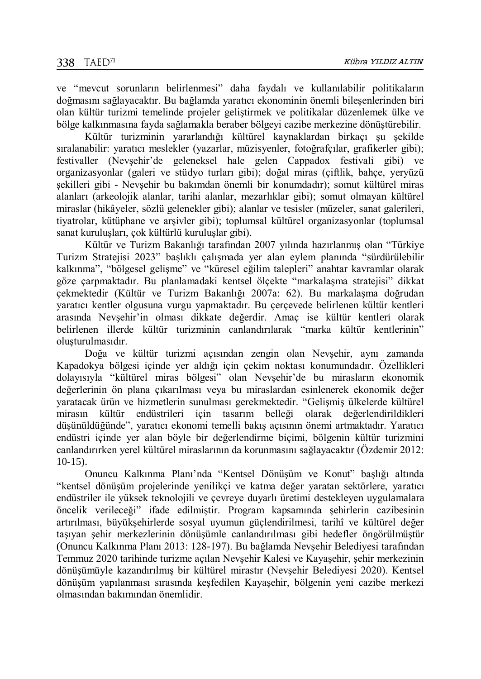ve "mevcut sorunların belirlenmesi" daha faydalı ve kullanılabilir politikaların doğmasını sağlayacaktır. Bu bağlamda yaratıcı ekonominin önemli bileşenlerinden biri olan kültür turizmi temelinde projeler geliştirmek ve politikalar düzenlemek ülke ve bölge kalkınmasına fayda sağlamakla beraber bölgeyi cazibe merkezine dönüştürebilir.

Kültür turizminin yararlandığı kültürel kaynaklardan birkaçı şu şekilde sıralanabilir: yaratıcı meslekler (yazarlar, müzisyenler, fotoğrafçılar, grafikerler gibi); festivaller (Nevşehir'de geleneksel hale gelen Cappadox festivali gibi) ve organizasyonlar (galeri ve stüdyo turları gibi); doğal miras (çiftlik, bahçe, yeryüzü şekilleri gibi - Nevşehir bu bakımdan önemli bir konumdadır); somut kültürel miras alanları (arkeolojik alanlar, tarihi alanlar, mezarlıklar gibi); somut olmayan kültürel miraslar (hikâyeler, sözlü gelenekler gibi); alanlar ve tesisler (müzeler, sanat galerileri, tiyatrolar, kütüphane ve arşivler gibi); toplumsal kültürel organizasyonlar (toplumsal sanat kuruluşları, çok kültürlü kuruluşlar gibi).

Kültür ve Turizm Bakanlığı tarafından 2007 yılında hazırlanmış olan "Türkiye Turizm Stratejisi 2023" başlıklı çalışmada yer alan eylem planında "sürdürülebilir kalkınma", "bölgesel gelişme" ve "küresel eğilim talepleri" anahtar kavramlar olarak göze çarpmaktadır. Bu planlamadaki kentsel ölçekte "markalaşma stratejisi" dikkat çekmektedir (Kültür ve Turizm Bakanlığı 2007a: 62). Bu markalaşma doğrudan yaratıcı kentler olgusuna vurgu yapmaktadır. Bu çerçevede belirlenen kültür kentleri arasında Nevşehir'in olması dikkate değerdir. Amaç ise kültür kentleri olarak belirlenen illerde kültür turizminin canlandırılarak "marka kültür kentlerinin" oluşturulmasıdır.

Doğa ve kültür turizmi açısından zengin olan Nevşehir, aynı zamanda Kapadokya bölgesi içinde yer aldığı için çekim noktası konumundadır. Özellikleri dolayısıyla "kültürel miras bölgesi" olan Nevşehir'de bu mirasların ekonomik değerlerinin ön plana çıkarılması veya bu miraslardan esinlenerek ekonomik değer yaratacak ürün ve hizmetlerin sunulması gerekmektedir. "Gelişmiş ülkelerde kültürel mirasın kültür endüstrileri için tasarım belleği olarak değerlendirildikleri düşünüldüğünde", yaratıcı ekonomi temelli bakış açısının önemi artmaktadır. Yaratıcı endüstri içinde yer alan böyle bir değerlendirme biçimi, bölgenin kültür turizmini canlandırırken yerel kültürel miraslarının da korunmasını sağlayacaktır (Özdemir 2012:  $10-15$ 

Onuncu Kalkınma Planı'nda "Kentsel Dönüşüm ve Konut" başlığı altında "kentsel dönüşüm projelerinde yenilikçi ve katma değer yaratan sektörlere, yaratıcı endüstriler ile yüksek teknolojili ve çevreye duyarlı üretimi destekleyen uygulamalara öncelik verileceği" ifade edilmiştir. Program kapsamında şehirlerin cazibesinin artırılması, büyükşehirlerde sosyal uyumun güçlendirilmesi, tarihî ve kültürel değer taşıyan şehir merkezlerinin dönüşümle canlandırılması gibi hedefler öngörülmüştür (Onuncu Kalkınma Planı 2013: 128-197). Bu bağlamda Nevşehir Belediyesi tarafından Temmuz 2020 tarihinde turizme açılan Nevşehir Kalesi ve Kayaşehir, şehir merkezinin dönüşümüyle kazandırılmış bir kültürel mirastır (Nevşehir Belediyesi 2020). Kentsel dönüşüm yapılanması sırasında keşfedilen Kayaşehir, bölgenin yeni cazibe merkezi olmasından bakımından önemlidir.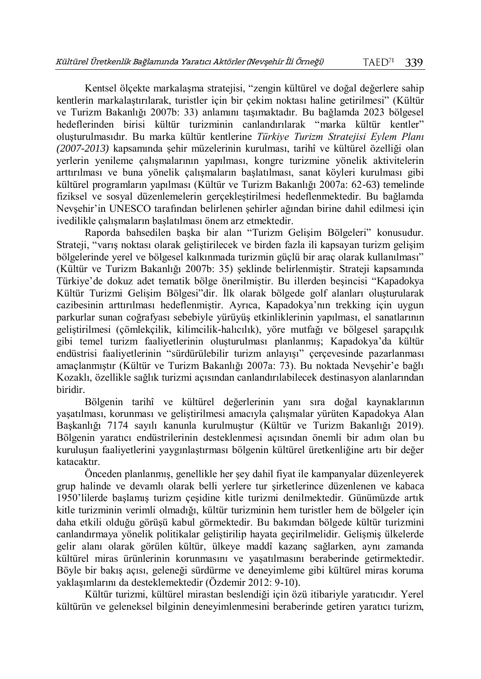Kentsel ölçekte markalaşma stratejisi, "zengin kültürel ve doğal değerlere sahip kentlerin markalaştırılarak, turistler için bir çekim noktası haline getirilmesi" (Kültür ve Turizm Bakanlığı 2007b: 33) anlamını taşımaktadır. Bu bağlamda 2023 bölgesel hedeflerinden birisi kültür turizminin canlandırılarak "marka kültür kentler" oluşturulmasıdır. Bu marka kültür kentlerine *Türkiye Turizm Stratejisi Eylem Planı (2007-2013)* kapsamında şehir müzelerinin kurulması, tarihî ve kültürel özelliği olan yerlerin yenileme çalışmalarının yapılması, kongre turizmine yönelik aktivitelerin arttırılması ve buna yönelik çalışmaların başlatılması, sanat köyleri kurulması gibi kültürel programların yapılması (Kültür ve Turizm Bakanlığı 2007a: 62-63) temelinde fiziksel ve sosyal düzenlemelerin gerçekleştirilmesi hedeflenmektedir. Bu bağlamda Nevşehir'in UNESCO tarafından belirlenen şehirler ağından birine dahil edilmesi için ivedilikle çalışmaların başlatılması önem arz etmektedir.

Raporda bahsedilen başka bir alan "Turizm Gelişim Bölgeleri" konusudur. Strateji, "varış noktası olarak geliştirilecek ve birden fazla ili kapsayan turizm gelişim bölgelerinde yerel ve bölgesel kalkınmada turizmin güçlü bir araç olarak kullanılması" (Kültür ve Turizm Bakanlığı 2007b: 35) şeklinde belirlenmiştir. Strateji kapsamında Türkiye'de dokuz adet tematik bölge önerilmiştir. Bu illerden beşincisi "Kapadokya Kültür Turizmi Gelişim Bölgesi"dir. İlk olarak bölgede golf alanları oluşturularak cazibesinin arttırılması hedeflenmiştir. Ayrıca, Kapadokya'nın trekking için uygun parkurlar sunan coğrafyası sebebiyle yürüyüş etkinliklerinin yapılması, el sanatlarının geliştirilmesi (çömlekçilik, kilimcilik-halıcılık), yöre mutfağı ve bölgesel şarapçılık gibi temel turizm faaliyetlerinin oluşturulması planlanmış; Kapadokya'da kültür endüstrisi faaliyetlerinin "sürdürülebilir turizm anlayışı" çerçevesinde pazarlanması amaçlanmıştır (Kültür ve Turizm Bakanlığı 2007a: 73). Bu noktada Nevşehir'e bağlı Kozaklı, özellikle sağlık turizmi açısından canlandırılabilecek destinasyon alanlarından biridir.

Bölgenin tarihî ve kültürel değerlerinin yanı sıra doğal kaynaklarının yaşatılması, korunması ve geliştirilmesi amacıyla çalışmalar yürüten Kapadokya Alan Başkanlığı 7174 sayılı kanunla kurulmuştur (Kültür ve Turizm Bakanlığı 2019). Bölgenin yaratıcı endüstrilerinin desteklenmesi açısından önemli bir adım olan bu kuruluşun faaliyetlerini yaygınlaştırması bölgenin kültürel üretkenliğine artı bir değer katacaktır.

Önceden planlanmış, genellikle her şey dahil fiyat ile kampanyalar düzenleyerek grup halinde ve devamlı olarak belli yerlere tur şirketlerince düzenlenen ve kabaca 1950'lilerde başlamış turizm çeşidine kitle turizmi denilmektedir. Günümüzde artık kitle turizminin verimli olmadığı, kültür turizminin hem turistler hem de bölgeler için daha etkili olduğu görüşü kabul görmektedir. Bu bakımdan bölgede kültür turizmini canlandırmaya yönelik politikalar geliştirilip hayata geçirilmelidir. Gelişmiş ülkelerde gelir alanı olarak görülen kültür, ülkeye maddî kazanç sağlarken, aynı zamanda kültürel miras ürünlerinin korunmasını ve yaşatılmasını beraberinde getirmektedir. Böyle bir bakış açısı, geleneği sürdürme ve deneyimleme gibi kültürel miras koruma yaklaşımlarını da desteklemektedir (Özdemir 2012: 9-10).

Kültür turizmi, kültürel mirastan beslendiği için özü itibariyle yaratıcıdır. Yerel kültürün ve geleneksel bilginin deneyimlenmesini beraberinde getiren yaratıcı turizm,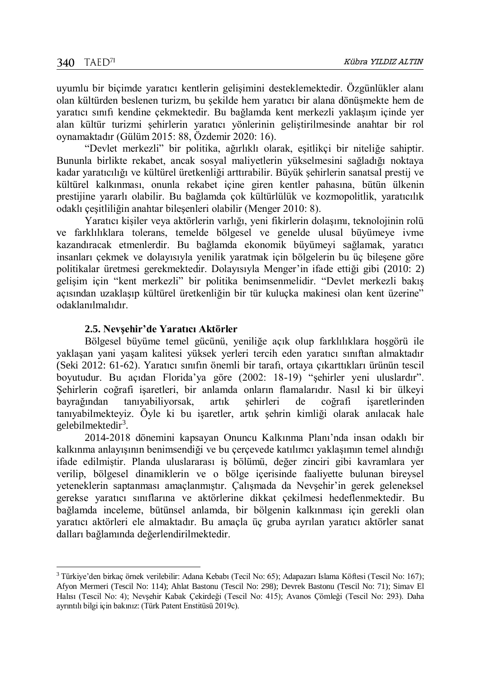$\overline{a}$ 

uyumlu bir biçimde yaratıcı kentlerin gelişimini desteklemektedir. Özgünlükler alanı olan kültürden beslenen turizm, bu şekilde hem yaratıcı bir alana dönüşmekte hem de yaratıcı sınıfı kendine çekmektedir. Bu bağlamda kent merkezli yaklaşım içinde yer alan kültür turizmi şehirlerin yaratıcı yönlerinin geliştirilmesinde anahtar bir rol oynamaktadır (Gülüm 2015: 88, Özdemir 2020: 16).

"Devlet merkezli" bir politika, ağırlıklı olarak, eşitlikçi bir niteliğe sahiptir. Bununla birlikte rekabet, ancak sosyal maliyetlerin yükselmesini sağladığı noktaya kadar yaratıcılığı ve kültürel üretkenliği arttırabilir. Büyük şehirlerin sanatsal prestij ve kültürel kalkınması, onunla rekabet içine giren kentler pahasına, bütün ülkenin prestijine yararlı olabilir. Bu bağlamda çok kültürlülük ve kozmopolitlik, yaratıcılık odaklı çeşitliliğin anahtar bileşenleri olabilir (Menger 2010: 8).

Yaratıcı kişiler veya aktörlerin varlığı, yeni fikirlerin dolaşımı, teknolojinin rolü ve farklılıklara tolerans, temelde bölgesel ve genelde ulusal büyümeye ivme kazandıracak etmenlerdir. Bu bağlamda ekonomik büyümeyi sağlamak, yaratıcı insanları çekmek ve dolayısıyla yenilik yaratmak için bölgelerin bu üç bileşene göre politikalar üretmesi gerekmektedir. Dolayısıyla Menger'in ifade ettiği gibi (2010: 2) gelişim için "kent merkezli" bir politika benimsenmelidir. "Devlet merkezli bakış açısından uzaklaşıp kültürel üretkenliğin bir tür kuluçka makinesi olan kent üzerine" odaklanılmalıdır.

#### **2.5. Nevşehir'de Yaratıcı Aktörler**

Bölgesel büyüme temel gücünü, yeniliğe açık olup farklılıklara hoşgörü ile yaklaşan yani yaşam kalitesi yüksek yerleri tercih eden yaratıcı sınıftan almaktadır (Seki 2012: 61-62). Yaratıcı sınıfın önemli bir tarafı, ortaya çıkarttıkları ürünün tescil boyutudur. Bu açıdan Florida'ya göre (2002: 18-19) "şehirler yeni uluslardır". Şehirlerin coğrafi işaretleri, bir anlamda onların flamalarıdır. Nasıl ki bir ülkeyi bayrağından tanıyabiliyorsak, artık şehirleri de coğrafi işaretlerinden tanıyabilmekteyiz. Öyle ki bu işaretler, artık şehrin kimliği olarak anılacak hale gelebilmektedir<sup>3</sup>.

2014-2018 dönemini kapsayan Onuncu Kalkınma Planı'nda insan odaklı bir kalkınma anlayışının benimsendiği ve bu çerçevede katılımcı yaklaşımın temel alındığı ifade edilmiştir. Planda uluslararası iş bölümü, değer zinciri gibi kavramlara yer verilip, bölgesel dinamiklerin ve o bölge içerisinde faaliyette bulunan bireysel yeteneklerin saptanması amaçlanmıştır. Çalışmada da Nevşehir'in gerek geleneksel gerekse yaratıcı sınıflarına ve aktörlerine dikkat çekilmesi hedeflenmektedir. Bu bağlamda inceleme, bütünsel anlamda, bir bölgenin kalkınması için gerekli olan yaratıcı aktörleri ele almaktadır. Bu amaçla üç gruba ayrılan yaratıcı aktörler sanat dalları bağlamında değerlendirilmektedir.

<sup>3</sup> Türkiye'den birkaç örnek verilebilir: Adana Kebabı (Tecil No: 65); Adapazarı Islama Köftesi (Tescil No: 167); Afyon Mermeri (Tescil No: 114); Ahlat Bastonu (Tescil No: 298); Devrek Bastonu (Tescil No: 71); Simav El Halısı (Tescil No: 4); Nevşehir Kabak Çekirdeği (Tescil No: 415); Avanos Çömleği (Tescil No: 293). Daha ayrıntılı bilgi için bakınız: (Türk Patent Enstitüsü 2019c).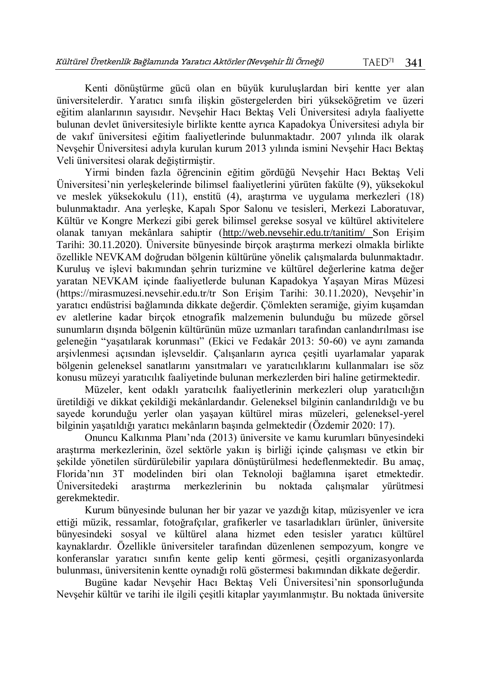Kenti dönüştürme gücü olan en büyük kuruluşlardan biri kentte yer alan üniversitelerdir. Yaratıcı sınıfa ilişkin göstergelerden biri yükseköğretim ve üzeri eğitim alanlarının sayısıdır. Nevşehir Hacı Bektaş Veli Üniversitesi adıyla faaliyette bulunan devlet üniversitesiyle birlikte kentte ayrıca Kapadokya Üniversitesi adıyla bir de vakıf üniversitesi eğitim faaliyetlerinde bulunmaktadır. 2007 yılında ilk olarak Nevşehir Üniversitesi adıyla kurulan kurum 2013 yılında ismini Nevşehir Hacı Bektaş Veli üniversitesi olarak değiştirmiştir.

Yirmi binden fazla öğrencinin eğitim gördüğü Nevşehir Hacı Bektaş Veli Üniversitesi'nin yerleşkelerinde bilimsel faaliyetlerini yürüten fakülte (9), yüksekokul ve meslek yüksekokulu (11), enstitü (4), araştırma ve uygulama merkezleri (18) bulunmaktadır. Ana yerleşke, Kapalı Spor Salonu ve tesisleri, Merkezi Laboratuvar, Kültür ve Kongre Merkezi gibi gerek bilimsel gerekse sosyal ve kültürel aktivitelere olanak tanıyan mekânlara sahiptir [\(http://web.nevsehir.edu.tr/tanitim/](http://web.nevsehir.edu.tr/tanitim/) Son Erişim Tarihi: 30.11.2020). Üniversite bünyesinde birçok araştırma merkezi olmakla birlikte özellikle NEVKAM doğrudan bölgenin kültürüne yönelik çalışmalarda bulunmaktadır. Kuruluş ve işlevi bakımından şehrin turizmine ve kültürel değerlerine katma değer yaratan NEVKAM içinde faaliyetlerde bulunan Kapadokya Yaşayan Miras Müzesi (https://mirasmuzesi.nevsehir.edu.tr/tr Son Erişim Tarihi: 30.11.2020), Nevşehir'in yaratıcı endüstrisi bağlamında dikkate değerdir. Çömlekten seramiğe, giyim kuşamdan ev aletlerine kadar birçok etnografik malzemenin bulunduğu bu müzede görsel sunumların dışında bölgenin kültürünün müze uzmanları tarafından canlandırılması ise geleneğin "yaşatılarak korunması" (Ekici ve Fedakâr 2013: 50-60) ve aynı zamanda arşivlenmesi açısından işlevseldir. Çalışanların ayrıca çeşitli uyarlamalar yaparak bölgenin geleneksel sanatlarını yansıtmaları ve yaratıcılıklarını kullanmaları ise söz konusu müzeyi yaratıcılık faaliyetinde bulunan merkezlerden biri haline getirmektedir.

Müzeler, kent odaklı yaratıcılık faaliyetlerinin merkezleri olup yaratıcılığın üretildiği ve dikkat çekildiği mekânlardandır. Geleneksel bilginin canlandırıldığı ve bu sayede korunduğu yerler olan yaşayan kültürel miras müzeleri, geleneksel-yerel bilginin yaşatıldığı yaratıcı mekânların başında gelmektedir (Özdemir 2020: 17).

Onuncu Kalkınma Planı'nda (2013) üniversite ve kamu kurumları bünyesindeki araştırma merkezlerinin, özel sektörle yakın iş birliği içinde çalışması ve etkin bir şekilde yönetilen sürdürülebilir yapılara dönüştürülmesi hedeflenmektedir. Bu amaç, Florida'nın 3T modelinden biri olan Teknoloji bağlamına işaret etmektedir. Üniversitedeki araştırma merkezlerinin bu noktada çalışmalar yürütmesi gerekmektedir.

Kurum bünyesinde bulunan her bir yazar ve yazdığı kitap, müzisyenler ve icra ettiği müzik, ressamlar, fotoğrafçılar, grafikerler ve tasarladıkları ürünler, üniversite bünyesindeki sosyal ve kültürel alana hizmet eden tesisler yaratıcı kültürel kaynaklardır. Özellikle üniversiteler tarafından düzenlenen sempozyum, kongre ve konferanslar yaratıcı sınıfın kente gelip kenti görmesi, çeşitli organizasyonlarda bulunması, üniversitenin kentte oynadığı rolü göstermesi bakımından dikkate değerdir.

Bugüne kadar Nevşehir Hacı Bektaş Veli Üniversitesi'nin sponsorluğunda Nevşehir kültür ve tarihi ile ilgili çeşitli kitaplar yayımlanmıştır. Bu noktada üniversite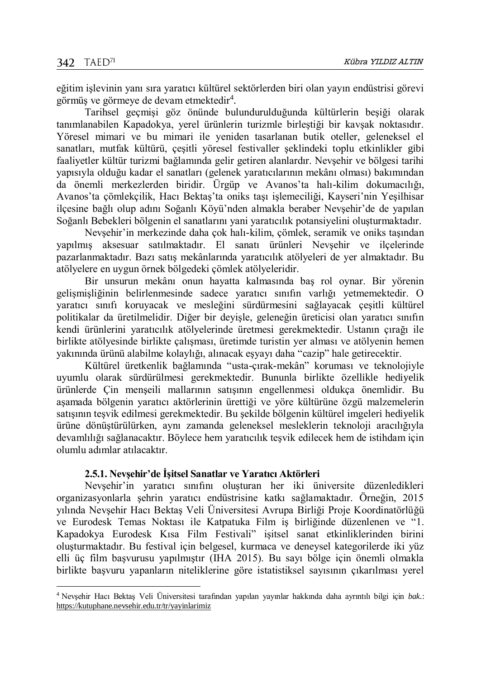$\overline{a}$ 

eğitim işlevinin yanı sıra yaratıcı kültürel sektörlerden biri olan yayın endüstrisi görevi görmüş ve görmeye de devam etmektedir<sup>4</sup>.

Tarihsel geçmişi göz önünde bulundurulduğunda kültürlerin beşiği olarak tanımlanabilen Kapadokya, yerel ürünlerin turizmle birleştiği bir kavşak noktasıdır. Yöresel mimari ve bu mimari ile yeniden tasarlanan butik oteller, geleneksel el sanatları, mutfak kültürü, çeşitli yöresel festivaller şeklindeki toplu etkinlikler gibi faaliyetler kültür turizmi bağlamında gelir getiren alanlardır. Nevşehir ve bölgesi tarihi yapısıyla olduğu kadar el sanatları (gelenek yaratıcılarının mekânı olması) bakımından da önemli merkezlerden biridir. Ürgüp ve Avanos'ta halı-kilim dokumacılığı, Avanos'ta çömlekçilik, Hacı Bektaş'ta oniks taşı işlemeciliği, Kayseri'nin Yeşilhisar ilçesine bağlı olup adını Soğanlı Köyü'nden almakla beraber Nevşehir'de de yapılan Soğanlı Bebekleri bölgenin el sanatlarını yani yaratıcılık potansiyelini oluşturmaktadır.

Nevşehir'in merkezinde daha çok halı-kilim, çömlek, seramik ve oniks taşından yapılmış aksesuar satılmaktadır. El sanatı ürünleri Nevşehir ve ilçelerinde pazarlanmaktadır. Bazı satış mekânlarında yaratıcılık atölyeleri de yer almaktadır. Bu atölyelere en uygun örnek bölgedeki çömlek atölyeleridir.

Bir unsurun mekânı onun hayatta kalmasında baş rol oynar. Bir yörenin gelişmişliğinin belirlenmesinde sadece yaratıcı sınıfın varlığı yetmemektedir. O yaratıcı sınıfı koruyacak ve mesleğini sürdürmesini sağlayacak çeşitli kültürel politikalar da üretilmelidir. Diğer bir deyişle, geleneğin üreticisi olan yaratıcı sınıfın kendi ürünlerini yaratıcılık atölyelerinde üretmesi gerekmektedir. Ustanın çırağı ile birlikte atölyesinde birlikte çalışması, üretimde turistin yer alması ve atölyenin hemen yakınında ürünü alabilme kolaylığı, alınacak eşyayı daha "cazip" hale getirecektir.

Kültürel üretkenlik bağlamında "usta-çırak-mekân" koruması ve teknolojiyle uyumlu olarak sürdürülmesi gerekmektedir. Bununla birlikte özellikle hediyelik ürünlerde Çin menşeili mallarının satışının engellenmesi oldukça önemlidir. Bu aşamada bölgenin yaratıcı aktörlerinin ürettiği ve yöre kültürüne özgü malzemelerin satışının teşvik edilmesi gerekmektedir. Bu şekilde bölgenin kültürel imgeleri hediyelik ürüne dönüştürülürken, aynı zamanda geleneksel mesleklerin teknoloji aracılığıyla devamlılığı sağlanacaktır. Böylece hem yaratıcılık teşvik edilecek hem de istihdam için olumlu adımlar atılacaktır.

### **2.5.1. Nevşehir'de İşitsel Sanatlar ve Yaratıcı Aktörleri**

Nevşehir'in yaratıcı sınıfını oluşturan her iki üniversite düzenledikleri organizasyonlarla şehrin yaratıcı endüstrisine katkı sağlamaktadır. Örneğin, 2015 yılında Nevşehir Hacı Bektaş Veli Üniversitesi Avrupa Birliği Proje Koordinatörlüğü ve Eurodesk Temas Noktası ile Katpatuka Film iş birliğinde düzenlenen ve "1. Kapadokya Eurodesk Kısa Film Festivali" işitsel sanat etkinliklerinden birini oluşturmaktadır. Bu festival için belgesel, kurmaca ve deneysel kategorilerde iki yüz elli üç film başvurusu yapılmıştır (IHA 2015). Bu sayı bölge için önemli olmakla birlikte başvuru yapanların niteliklerine göre istatistiksel sayısının çıkarılması yerel

<sup>4</sup> Nevşehir Hacı Bektaş Veli Üniversitesi tarafından yapılan yayınlar hakkında daha ayrıntılı bilgi için *bak*.: <https://kutuphane.nevsehir.edu.tr/tr/yayinlarimiz>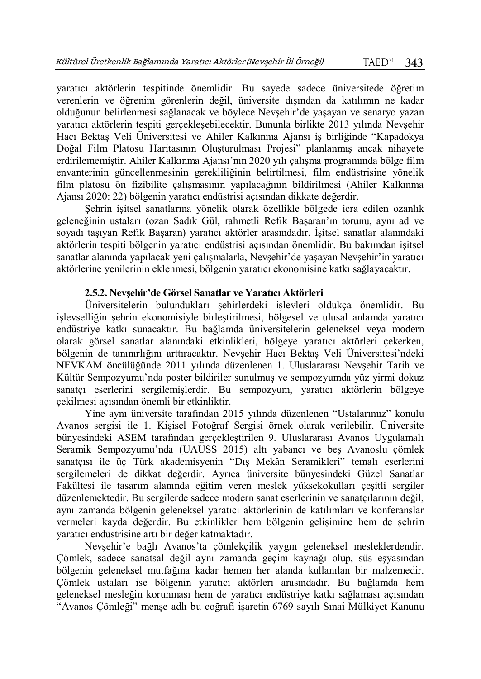yaratıcı aktörlerin tespitinde önemlidir. Bu sayede sadece üniversitede öğretim verenlerin ve öğrenim görenlerin değil, üniversite dışından da katılımın ne kadar olduğunun belirlenmesi sağlanacak ve böylece Nevşehir'de yaşayan ve senaryo yazan yaratıcı aktörlerin tespiti gerçekleşebilecektir. Bununla birlikte 2013 yılında Nevşehir Hacı Bektaş Veli Üniversitesi ve Ahiler Kalkınma Ajansı iş birliğinde "Kapadokya Doğal Film Platosu Haritasının Oluşturulması Projesi" planlanmış ancak nihayete erdirilememiştir. Ahiler Kalkınma Ajansı'nın 2020 yılı çalışma programında bölge film envanterinin güncellenmesinin gerekliliğinin belirtilmesi, film endüstrisine yönelik film platosu ön fizibilite çalışmasının yapılacağının bildirilmesi (Ahiler Kalkınma Ajansı 2020: 22) bölgenin yaratıcı endüstrisi açısından dikkate değerdir.

Şehrin işitsel sanatlarına yönelik olarak özellikle bölgede icra edilen ozanlık geleneğinin ustaları (ozan Sadık Gül, rahmetli Refik Başaran'ın torunu, aynı ad ve soyadı taşıyan Refik Başaran) yaratıcı aktörler arasındadır. İşitsel sanatlar alanındaki aktörlerin tespiti bölgenin yaratıcı endüstrisi açısından önemlidir. Bu bakımdan işitsel sanatlar alanında yapılacak yeni çalışmalarla, Nevşehir'de yaşayan Nevşehir'in yaratıcı aktörlerine yenilerinin eklenmesi, bölgenin yaratıcı ekonomisine katkı sağlayacaktır.

### **2.5.2. Nevşehir'de Görsel Sanatlar ve Yaratıcı Aktörleri**

Üniversitelerin bulundukları şehirlerdeki işlevleri oldukça önemlidir. Bu işlevselliğin şehrin ekonomisiyle birleştirilmesi, bölgesel ve ulusal anlamda yaratıcı endüstriye katkı sunacaktır. Bu bağlamda üniversitelerin geleneksel veya modern olarak görsel sanatlar alanındaki etkinlikleri, bölgeye yaratıcı aktörleri çekerken, bölgenin de tanınırlığını arttıracaktır. Nevşehir Hacı Bektaş Veli Üniversitesi'ndeki NEVKAM öncülüğünde 2011 yılında düzenlenen 1. Uluslararası Nevşehir Tarih ve Kültür Sempozyumu'nda poster bildiriler sunulmuş ve sempozyumda yüz yirmi dokuz sanatçı eserlerini sergilemişlerdir. Bu sempozyum, yaratıcı aktörlerin bölgeye çekilmesi açısından önemli bir etkinliktir.

Yine aynı üniversite tarafından 2015 yılında düzenlenen "Ustalarımız" konulu Avanos sergisi ile 1. Kişisel Fotoğraf Sergisi örnek olarak verilebilir. Üniversite bünyesindeki ASEM tarafından gerçekleştirilen 9. Uluslararası Avanos Uygulamalı Seramik Sempozyumu'nda (UAUSS 2015) altı yabancı ve beş Avanoslu çömlek sanatçısı ile üç Türk akademisyenin "Dış Mekân Seramikleri" temalı eserlerini sergilemeleri de dikkat değerdir. Ayrıca üniversite bünyesindeki Güzel Sanatlar Fakültesi ile tasarım alanında eğitim veren meslek yüksekokulları çeşitli sergiler düzenlemektedir. Bu sergilerde sadece modern sanat eserlerinin ve sanatçılarının değil, aynı zamanda bölgenin geleneksel yaratıcı aktörlerinin de katılımları ve konferanslar vermeleri kayda değerdir. Bu etkinlikler hem bölgenin gelişimine hem de şehrin yaratıcı endüstrisine artı bir değer katmaktadır.

Nevşehir'e bağlı Avanos'ta çömlekçilik yaygın geleneksel mesleklerdendir. Çömlek, sadece sanatsal değil aynı zamanda geçim kaynağı olup, süs eşyasından bölgenin geleneksel mutfağına kadar hemen her alanda kullanılan bir malzemedir. Çömlek ustaları ise bölgenin yaratıcı aktörleri arasındadır. Bu bağlamda hem geleneksel mesleğin korunması hem de yaratıcı endüstriye katkı sağlaması açısından "Avanos Çömleği" menşe adlı bu coğrafi işaretin 6769 sayılı Sınai Mülkiyet Kanunu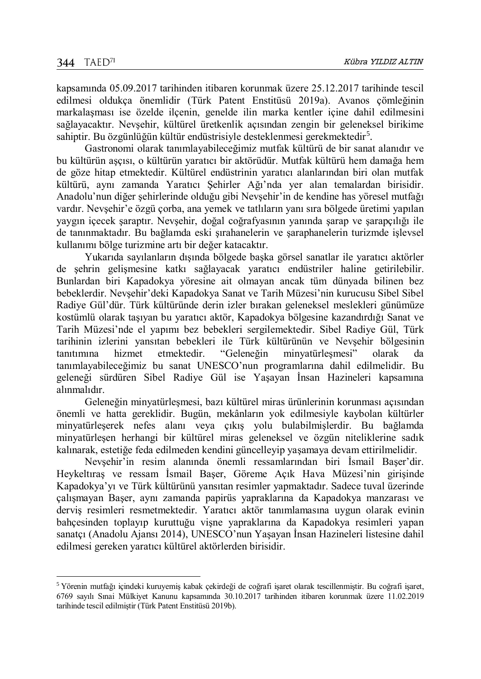$\overline{a}$ 

kapsamında 05.09.2017 tarihinden itibaren korunmak üzere 25.12.2017 tarihinde tescil edilmesi oldukça önemlidir (Türk Patent Enstitüsü 2019a). Avanos çömleğinin markalaşması ise özelde ilçenin, genelde ilin marka kentler içine dahil edilmesini sağlayacaktır. Nevşehir, kültürel üretkenlik açısından zengin bir geleneksel birikime sahiptir. Bu özgünlüğün kültür endüstrisiyle desteklenmesi gerekmektedir<sup>5</sup>.

Gastronomi olarak tanımlayabileceğimiz mutfak kültürü de bir sanat alanıdır ve bu kültürün aşçısı, o kültürün yaratıcı bir aktörüdür. Mutfak kültürü hem damağa hem de göze hitap etmektedir. Kültürel endüstrinin yaratıcı alanlarından biri olan mutfak kültürü, aynı zamanda Yaratıcı Şehirler Ağı'nda yer alan temalardan birisidir. Anadolu'nun diğer şehirlerinde olduğu gibi Nevşehir'in de kendine has yöresel mutfağı vardır. Nevşehir'e özgü çorba, ana yemek ve tatlıların yanı sıra bölgede üretimi yapılan yaygın içecek şaraptır. Nevşehir, doğal coğrafyasının yanında şarap ve şarapçılığı ile de tanınmaktadır. Bu bağlamda eski şırahanelerin ve şaraphanelerin turizmde işlevsel kullanımı bölge turizmine artı bir değer katacaktır.

Yukarıda sayılanların dışında bölgede başka görsel sanatlar ile yaratıcı aktörler de şehrin gelişmesine katkı sağlayacak yaratıcı endüstriler haline getirilebilir. Bunlardan biri Kapadokya yöresine ait olmayan ancak tüm dünyada bilinen bez bebeklerdir. Nevşehir'deki Kapadokya Sanat ve Tarih Müzesi'nin kurucusu Sibel Sibel Radiye Gül'dür. Türk kültüründe derin izler bırakan geleneksel meslekleri günümüze kostümlü olarak taşıyan bu yaratıcı aktör, Kapadokya bölgesine kazandırdığı Sanat ve Tarih Müzesi'nde el yapımı bez bebekleri sergilemektedir. Sibel Radiye Gül, Türk tarihinin izlerini yansıtan bebekleri ile Türk kültürünün ve Nevşehir bölgesinin tanıtımına hizmet etmektedir. "Geleneğin minyatürleşmesi" olarak da tanımlayabileceğimiz bu sanat UNESCO'nun programlarına dahil edilmelidir. Bu geleneği sürdüren Sibel Radiye Gül ise Yaşayan İnsan Hazineleri kapsamına alınmalıdır.

Geleneğin minyatürleşmesi, bazı kültürel miras ürünlerinin korunması açısından önemli ve hatta gereklidir. Bugün, mekânların yok edilmesiyle kaybolan kültürler minyatürleşerek nefes alanı veya çıkış yolu bulabilmişlerdir. Bu bağlamda minyatürleşen herhangi bir kültürel miras geleneksel ve özgün niteliklerine sadık kalınarak, estetiğe feda edilmeden kendini güncelleyip yaşamaya devam ettirilmelidir.

Nevşehir'in resim alanında önemli ressamlarından biri İsmail Başer'dir. Heykeltıraş ve ressam İsmail Başer, Göreme Açık Hava Müzesi'nin girişinde Kapadokya'yı ve Türk kültürünü yansıtan resimler yapmaktadır. Sadece tuval üzerinde çalışmayan Başer, aynı zamanda papirüs yapraklarına da Kapadokya manzarası ve derviş resimleri resmetmektedir. Yaratıcı aktör tanımlamasına uygun olarak evinin bahçesinden toplayıp kuruttuğu vişne yapraklarına da Kapadokya resimleri yapan sanatçı (Anadolu Ajansı 2014), UNESCO'nun Yaşayan İnsan Hazineleri listesine dahil edilmesi gereken yaratıcı kültürel aktörlerden birisidir.

<sup>5</sup> Yörenin mutfağı içindeki kuruyemiş kabak çekirdeği de coğrafi işaret olarak tescillenmiştir. Bu coğrafi işaret, 6769 sayılı Sınai Mülkiyet Kanunu kapsamında 30.10.2017 tarihinden itibaren korunmak üzere 11.02.2019 tarihinde tescil edilmiştir (Türk Patent Enstitüsü 2019b).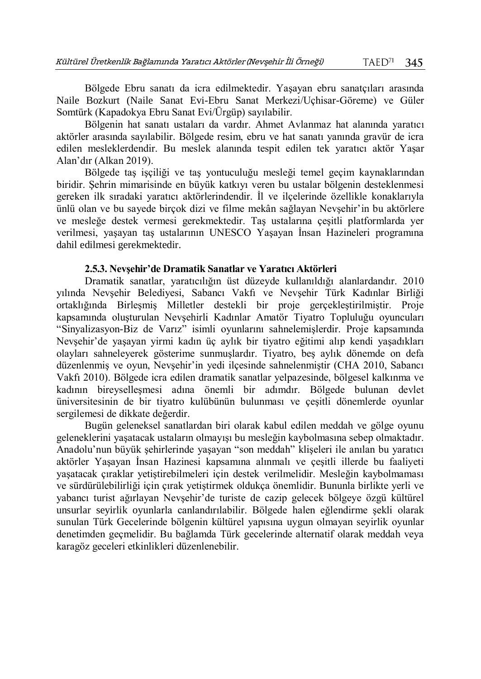Bölgede Ebru sanatı da icra edilmektedir. Yaşayan ebru sanatçıları arasında Naile Bozkurt (Naile Sanat Evi-Ebru Sanat Merkezi/Uçhisar-Göreme) ve Güler Somtürk (Kapadokya Ebru Sanat Evi/Ürgüp) sayılabilir.

Bölgenin hat sanatı ustaları da vardır. Ahmet Avlanmaz hat alanında yaratıcı aktörler arasında sayılabilir. Bölgede resim, ebru ve hat sanatı yanında gravür de icra edilen mesleklerdendir. Bu meslek alanında tespit edilen tek yaratıcı aktör Yaşar Alan'dır (Alkan 2019).

Bölgede taş işçiliği ve taş yontuculuğu mesleği temel geçim kaynaklarından biridir. Şehrin mimarisinde en büyük katkıyı veren bu ustalar bölgenin desteklenmesi gereken ilk sıradaki yaratıcı aktörlerindendir. İl ve ilçelerinde özellikle konaklarıyla ünlü olan ve bu sayede birçok dizi ve filme mekân sağlayan Nevşehir'in bu aktörlere ve mesleğe destek vermesi gerekmektedir. Taş ustalarına çeşitli platformlarda yer verilmesi, yaşayan taş ustalarının UNESCO Yaşayan İnsan Hazineleri programına dahil edilmesi gerekmektedir.

### **2.5.3. Nevşehir'de Dramatik Sanatlar ve Yaratıcı Aktörleri**

Dramatik sanatlar, yaratıcılığın üst düzeyde kullanıldığı alanlardandır. 2010 yılında Nevşehir Belediyesi, Sabancı Vakfı ve Nevşehir Türk Kadınlar Birliği ortaklığında Birleşmiş Milletler destekli bir proje gerçekleştirilmiştir. Proje kapsamında oluşturulan Nevşehirli Kadınlar Amatör Tiyatro Topluluğu oyuncuları "Sinyalizasyon-Biz de Varız" isimli oyunlarını sahnelemişlerdir. Proje kapsamında Nevşehir'de yaşayan yirmi kadın üç aylık bir tiyatro eğitimi alıp kendi yaşadıkları olayları sahneleyerek gösterime sunmuşlardır. Tiyatro, beş aylık dönemde on defa düzenlenmiş ve oyun, Nevşehir'in yedi ilçesinde sahnelenmiştir (CHA 2010, Sabancı Vakfı 2010). Bölgede icra edilen dramatik sanatlar yelpazesinde, bölgesel kalkınma ve kadının bireyselleşmesi adına önemli bir adımdır. Bölgede bulunan devlet üniversitesinin de bir tiyatro kulübünün bulunması ve çeşitli dönemlerde oyunlar sergilemesi de dikkate değerdir.

Bugün geleneksel sanatlardan biri olarak kabul edilen meddah ve gölge oyunu geleneklerini yaşatacak ustaların olmayışı bu mesleğin kaybolmasına sebep olmaktadır. Anadolu'nun büyük şehirlerinde yaşayan "son meddah" klişeleri ile anılan bu yaratıcı aktörler Yaşayan İnsan Hazinesi kapsamına alınmalı ve çeşitli illerde bu faaliyeti yaşatacak çıraklar yetiştirebilmeleri için destek verilmelidir. Mesleğin kaybolmaması ve sürdürülebilirliği için çırak yetiştirmek oldukça önemlidir. Bununla birlikte yerli ve yabancı turist ağırlayan Nevşehir'de turiste de cazip gelecek bölgeye özgü kültürel unsurlar seyirlik oyunlarla canlandırılabilir. Bölgede halen eğlendirme şekli olarak sunulan Türk Gecelerinde bölgenin kültürel yapısına uygun olmayan seyirlik oyunlar denetimden geçmelidir. Bu bağlamda Türk gecelerinde alternatif olarak meddah veya karagöz geceleri etkinlikleri düzenlenebilir.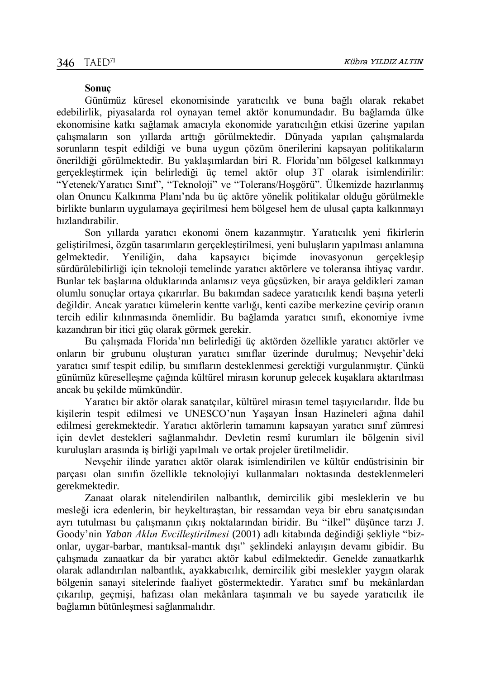#### **Sonuç**

Günümüz küresel ekonomisinde yaratıcılık ve buna bağlı olarak rekabet edebilirlik, piyasalarda rol oynayan temel aktör konumundadır. Bu bağlamda ülke ekonomisine katkı sağlamak amacıyla ekonomide yaratıcılığın etkisi üzerine yapılan çalışmaların son yıllarda arttığı görülmektedir. Dünyada yapılan çalışmalarda sorunların tespit edildiği ve buna uygun çözüm önerilerini kapsayan politikaların önerildiği görülmektedir. Bu yaklaşımlardan biri R. Florida'nın bölgesel kalkınmayı gerçekleştirmek için belirlediği üç temel aktör olup 3T olarak isimlendirilir: "Yetenek/Yaratıcı Sınıf", "Teknoloji" ve "Tolerans/Hoşgörü". Ülkemizde hazırlanmış olan Onuncu Kalkınma Planı'nda bu üç aktöre yönelik politikalar olduğu görülmekle birlikte bunların uygulamaya geçirilmesi hem bölgesel hem de ulusal çapta kalkınmayı hızlandırabilir.

Son yıllarda yaratıcı ekonomi önem kazanmıştır. Yaratıcılık yeni fikirlerin geliştirilmesi, özgün tasarımların gerçekleştirilmesi, yeni buluşların yapılması anlamına gelmektedir. Yeniliğin, daha kapsayıcı biçimde inovasyonun gerçekleşip sürdürülebilirliği için teknoloji temelinde yaratıcı aktörlere ve toleransa ihtiyaç vardır. Bunlar tek başlarına olduklarında anlamsız veya güçsüzken, bir araya geldikleri zaman olumlu sonuçlar ortaya çıkarırlar. Bu bakımdan sadece yaratıcılık kendi başına yeterli değildir. Ancak yaratıcı kümelerin kentte varlığı, kenti cazibe merkezine çevirip oranın tercih edilir kılınmasında önemlidir. Bu bağlamda yaratıcı sınıfı, ekonomiye ivme kazandıran bir itici güç olarak görmek gerekir.

Bu çalışmada Florida'nın belirlediği üç aktörden özellikle yaratıcı aktörler ve onların bir grubunu oluşturan yaratıcı sınıflar üzerinde durulmuş; Nevşehir'deki yaratıcı sınıf tespit edilip, bu sınıfların desteklenmesi gerektiği vurgulanmıştır. Çünkü günümüz küreselleşme çağında kültürel mirasın korunup gelecek kuşaklara aktarılması ancak bu şekilde mümkündür.

Yaratıcı bir aktör olarak sanatçılar, kültürel mirasın temel taşıyıcılarıdır. İlde bu kişilerin tespit edilmesi ve UNESCO'nun Yaşayan İnsan Hazineleri ağına dahil edilmesi gerekmektedir. Yaratıcı aktörlerin tamamını kapsayan yaratıcı sınıf zümresi için devlet destekleri sağlanmalıdır. Devletin resmî kurumları ile bölgenin sivil kuruluşları arasında iş birliği yapılmalı ve ortak projeler üretilmelidir.

Nevşehir ilinde yaratıcı aktör olarak isimlendirilen ve kültür endüstrisinin bir parçası olan sınıfın özellikle teknolojiyi kullanmaları noktasında desteklenmeleri gerekmektedir.

Zanaat olarak nitelendirilen nalbantlık, demircilik gibi mesleklerin ve bu mesleği icra edenlerin, bir heykeltıraştan, bir ressamdan veya bir ebru sanatçısından ayrı tutulması bu çalışmanın çıkış noktalarından biridir. Bu "ilkel" düşünce tarzı J. Goody'nin *Yaban Aklın Evcilleştirilmesi* (2001) adlı kitabında değindiği şekliyle "bizonlar, uygar-barbar, mantıksal-mantık dışı" şeklindeki anlayışın devamı gibidir. Bu çalışmada zanaatkar da bir yaratıcı aktör kabul edilmektedir. Genelde zanaatkarlık olarak adlandırılan nalbantlık, ayakkabıcılık, demircilik gibi meslekler yaygın olarak bölgenin sanayi sitelerinde faaliyet göstermektedir. Yaratıcı sınıf bu mekânlardan çıkarılıp, geçmişi, hafızası olan mekânlara taşınmalı ve bu sayede yaratıcılık ile bağlamın bütünleşmesi sağlanmalıdır.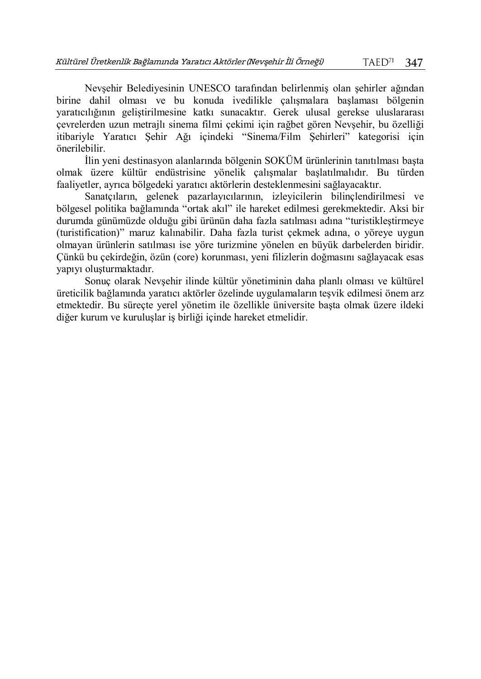Nevşehir Belediyesinin UNESCO tarafından belirlenmiş olan şehirler ağından birine dahil olması ve bu konuda ivedilikle çalışmalara başlaması bölgenin yaratıcılığının geliştirilmesine katkı sunacaktır. Gerek ulusal gerekse uluslararası çevrelerden uzun metrajlı sinema filmi çekimi için rağbet gören Nevşehir, bu özelliği itibariyle Yaratıcı Şehir Ağı içindeki "Sinema/Film Şehirleri" kategorisi için önerilebilir.

İlin yeni destinasyon alanlarında bölgenin SOKÜM ürünlerinin tanıtılması başta olmak üzere kültür endüstrisine yönelik çalışmalar başlatılmalıdır. Bu türden faaliyetler, ayrıca bölgedeki yaratıcı aktörlerin desteklenmesini sağlayacaktır.

Sanatçıların, gelenek pazarlayıcılarının, izleyicilerin bilinçlendirilmesi ve bölgesel politika bağlamında "ortak akıl" ile hareket edilmesi gerekmektedir. Aksi bir durumda günümüzde olduğu gibi ürünün daha fazla satılması adına "turistikleştirmeye (turistification)" maruz kalınabilir. Daha fazla turist çekmek adına, o yöreye uygun olmayan ürünlerin satılması ise yöre turizmine yönelen en büyük darbelerden biridir. Çünkü bu çekirdeğin, özün (core) korunması, yeni filizlerin doğmasını sağlayacak esas yapıyı oluşturmaktadır.

Sonuç olarak Nevşehir ilinde kültür yönetiminin daha planlı olması ve kültürel üreticilik bağlamında yaratıcı aktörler özelinde uygulamaların teşvik edilmesi önem arz etmektedir. Bu süreçte yerel yönetim ile özellikle üniversite başta olmak üzere ildeki diğer kurum ve kuruluşlar iş birliği içinde hareket etmelidir.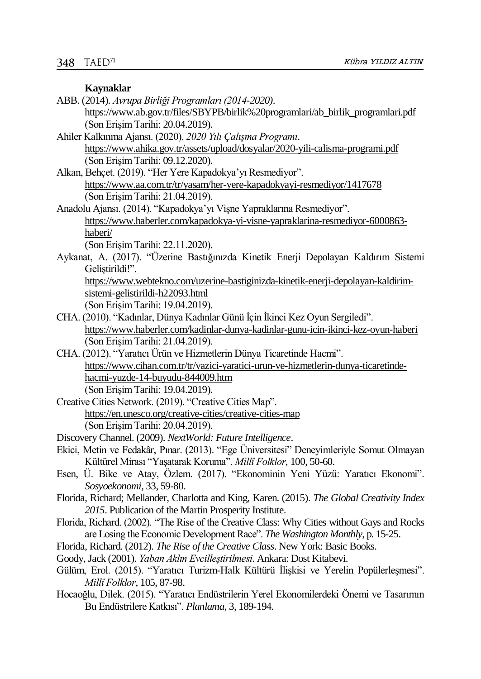#### **Kaynaklar**

- ABB. (2014). *Avrupa Birliği Programları (2014-2020)*. https://www.ab.gov.tr/files/SBYPB/birlik%20programlari/ab\_birlik\_programlari.pdf (Son Erişim Tarihi: 20.04.2019).
- Ahiler Kalkınma Ajansı. (2020). *2020 Yılı Çalışma Programı*. <https://www.ahika.gov.tr/assets/upload/dosyalar/2020-yili-calisma-programi.pdf> (Son Erişim Tarihi: 09.12.2020).
- Alkan, Behçet. (2019). "Her Yere Kapadokya'yı Resmediyor". <https://www.aa.com.tr/tr/yasam/her-yere-kapadokyayi-resmediyor/1417678> (Son Erişim Tarihi: 21.04.2019).
- Anadolu Ajansı. (2014). "Kapadokya'yı Vişne Yapraklarına Resmediyor". [https://www.haberler.com/kapadokya-yi-visne-yapraklarina-resmediyor-6000863](https://www.haberler.com/kapadokya-yi-visne-yapraklarina-resmediyor-6000863-haberi/) [haberi/](https://www.haberler.com/kapadokya-yi-visne-yapraklarina-resmediyor-6000863-haberi/)
	- (Son Erişim Tarihi: 22.11.2020).
- Aykanat, A. (2017). ["Üzerine Bastığınızda Kinetik Enerji Depolayan Kaldırım Sistemi](https://www.webtekno.com/uzerine-bastiginizda-kinetik-enerji-depolayan-kaldirim-sistemi-gelistirildi-h22093.html)  Gelistirildi!".

[https://www.webtekno.com/uzerine-bastiginizda-kinetik-enerji-depolayan-kaldirim](https://www.webtekno.com/uzerine-bastiginizda-kinetik-enerji-depolayan-kaldirim-sistemi-gelistirildi-h22093.html)[sistemi-gelistirildi-h22093.html](https://www.webtekno.com/uzerine-bastiginizda-kinetik-enerji-depolayan-kaldirim-sistemi-gelistirildi-h22093.html) (Son Erişim Tarihi: 19.04.2019).

- CHA. (2010). "Kadınlar, Dünya Kadınlar Günü İçin İkinci Kez Oyun Sergiledi". [https://www.haberler.com/kadinlar-dunya-kadinlar-gunu-icin-ikinci-kez-oyun-haberi](https://www.haberler.com/kadinlar-dunya-kadinlar-gunu-icin-ikinci-kez-oyun-haberi/) (Son Erişim Tarihi: 21.04.2019).
- CHA. (2012). "Yaratıcı Ürün ve Hizmetlerin Dünya Ticaretinde Hacmi". [https://www.cihan.com.tr/tr/yazici-yaratici-urun-ve-hizmetlerin-dunya-ticaretinde](https://www.cihan.com.tr/tr/yazici-yaratici-urun-ve-hizmetlerin-dunya-ticaretinde-hacmi-yuzde-14-buyudu-844009.htm)[hacmi-yuzde-14-buyudu-844009.htm](https://www.cihan.com.tr/tr/yazici-yaratici-urun-ve-hizmetlerin-dunya-ticaretinde-hacmi-yuzde-14-buyudu-844009.htm) (Son ErişimTarihi: 19.04.2019).
- Creative Cities Network. (2019). "Creative Cities Map". <https://en.unesco.org/creative-cities/creative-cities-map> (Son Erişim Tarihi: 20.04.2019).
- Discovery Channel. (2009). *NextWorld: Future Intelligence*.
- Ekici, Metin ve Fedakâr, Pınar. (2013). "Ege Üniversitesi" Deneyimleriyle Somut Olmayan Kültürel Mirası "Yaşatarak Koruma". *Millî Folklor*, 100, 50-60.
- Esen, Ü. Bike ve Atay, Özlem. (2017). "Ekonominin Yeni Yüzü: Yaratıcı Ekonomi". *Sosyoekonomi*, 33, 59-80.
- Florida, Richard; Mellander, Charlotta and King, Karen. (2015). *The Global Creativity Index 2015*. Publication of the Martin Prosperity Institute.
- Florida, Richard. (2002). "The Rise of the Creative Class: Why Cities without Gays and Rocks are Losing the Economic Development Race". *The Washington Monthly*, p. 15-25.
- Florida, Richard. (2012). *The Rise of the Creative Class*. New York: Basic Books.
- Goody, Jack (2001). *Yaban Aklın Evcilleştirilmesi*. Ankara: Dost Kitabevi.
- Gülüm, Erol. (2015). "Yaratıcı Turizm-Halk Kültürü İlişkisi ve Yerelin Popülerleşmesi". *Millî Folklor*, 105, 87-98.
- Hocaoğlu, Dilek. (2015). "Yaratıcı Endüstrilerin Yerel Ekonomilerdeki Önemi ve Tasarımın Bu Endüstrilere Katkısı". *Planlama*, 3, 189-194.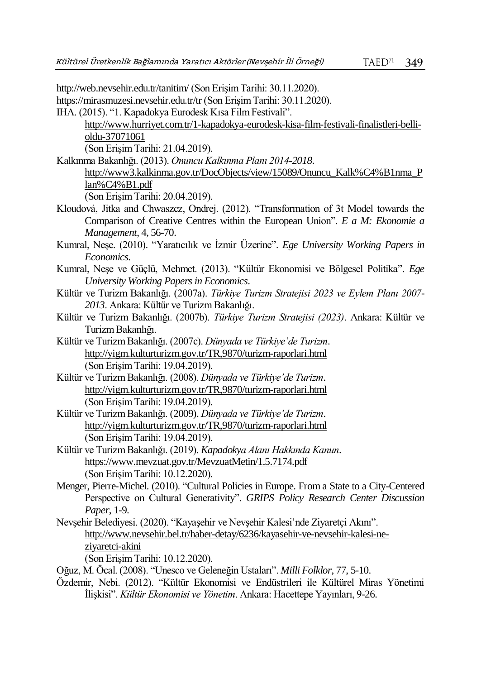http://web.nevsehir.edu.tr/tanitim/ (Son Erişim Tarihi: 30.11.2020). https://mirasmuzesi.nevsehir.edu.tr/tr (Son Erişim Tarihi: 30.11.2020). IHA. (2015). "1. Kapadokya Eurodesk Kısa Film Festivali". [http://www.hurriyet.com.tr/1-kapadokya-eurodesk-kisa-film-festivali-finalistleri-belli](http://www.hurriyet.com.tr/1-kapadokya-eurodesk-kisa-film-festivali-finalistleri-belli-oldu-37071061%20(Son%20Erişim%20Tarihi:%2021.04.2019).)[oldu-37071061](http://www.hurriyet.com.tr/1-kapadokya-eurodesk-kisa-film-festivali-finalistleri-belli-oldu-37071061%20(Son%20Erişim%20Tarihi:%2021.04.2019).) (Son Erişim Tarihi: 21.04.2019). Kalkınma Bakanlığı. (2013). *Onuncu Kalkınma Planı 2014-2018*. [http://www3.kalkinma.gov.tr/DocObjects/view/15089/Onuncu\\_Kalk%C4%B1nma\\_P](http://www3.kalkinma.gov.tr/DocObjects/view/15089/Onuncu_Kalk%C4%B1nma_Plan%C4%B1.pdf) [lan%C4%B1.pdf](http://www3.kalkinma.gov.tr/DocObjects/view/15089/Onuncu_Kalk%C4%B1nma_Plan%C4%B1.pdf) (Son Erişim Tarihi: 20.04.2019). Kloudová, Jitka and Chwaszcz, Ondrej. (2012). "Transformation of 3t Model towards the Comparison of Creative Centres within the European Union". *E a M: Ekonomie a Management*, 4, 56-70. Kumral, Neşe. (2010). "Yaratıcılık ve İzmir Üzerine". *Ege University Working Papers in Economics*. Kumral, Neşe ve Güçlü, Mehmet. (2013). "Kültür Ekonomisi ve Bölgesel Politika". *Ege University Working Papers in Economics*. Kültür ve Turizm Bakanlığı. (2007a). *Türkiye Turizm Stratejisi 2023 ve Eylem Planı 2007- 2013*. Ankara: Kültür ve Turizm Bakanlığı. Kültür ve Turizm Bakanlığı. (2007b). *Türkiye Turizm Stratejisi (2023)*. Ankara: Kültür ve Turizm Bakanlığı. Kültür ve Turizm Bakanlığı. (2007c). *Dünyada ve Türkiye'de Turizm*. <http://yigm.kulturturizm.gov.tr/TR,9870/turizm-raporlari.html> (Son Erişim Tarihi: 19.04.2019). Kültür ve Turizm Bakanlığı. (2008). *Dünyada ve Türkiye'de Turizm*. <http://yigm.kulturturizm.gov.tr/TR,9870/turizm-raporlari.html> (Son Erişim Tarihi: 19.04.2019). Kültür ve Turizm Bakanlığı. (2009). *Dünyada ve Türkiye'de Turizm*. <http://yigm.kulturturizm.gov.tr/TR,9870/turizm-raporlari.html> (Son Erişim Tarihi: 19.04.2019). Kültür ve Turizm Bakanlığı. (2019). *Kapadokya Alanı Hakkında Kanun*. <https://www.mevzuat.gov.tr/MevzuatMetin/1.5.7174.pdf> (Son Erişim Tarihi: 10.12.2020). Menger, Pierre-Michel. (2010). "Cultural Policies in Europe. From a State to a City-Centered Perspective on Cultural Generativity". *GRIPS Policy Research Center Discussion Paper*, 1-9. Nevşehir Belediyesi. (2020). "Kayaşehir ve Nevşehir Kalesi'nde Ziyaretçi Akını". [http://www.nevsehir.bel.tr/haber-detay/6236/kayasehir-ve-nevsehir-kalesi-ne](http://www.nevsehir.bel.tr/haber-detay/6236/kayasehir-ve-nevsehir-kalesi-ne-ziyaretci-akini)[ziyaretci-akini](http://www.nevsehir.bel.tr/haber-detay/6236/kayasehir-ve-nevsehir-kalesi-ne-ziyaretci-akini)  (Son Erişim Tarihi: 10.12.2020). Oğuz, M. Öcal. (2008). "Unesco ve Geleneğin Ustaları". *Milli Folklor*, 77, 5-10. Özdemir, Nebi. (2012). "Kültür Ekonomisi ve Endüstrileri ile Kültürel Miras Yönetimi İlişkisi". *Kültür Ekonomisi ve Yönetim*. Ankara: Hacettepe Yayınları, 9-26.